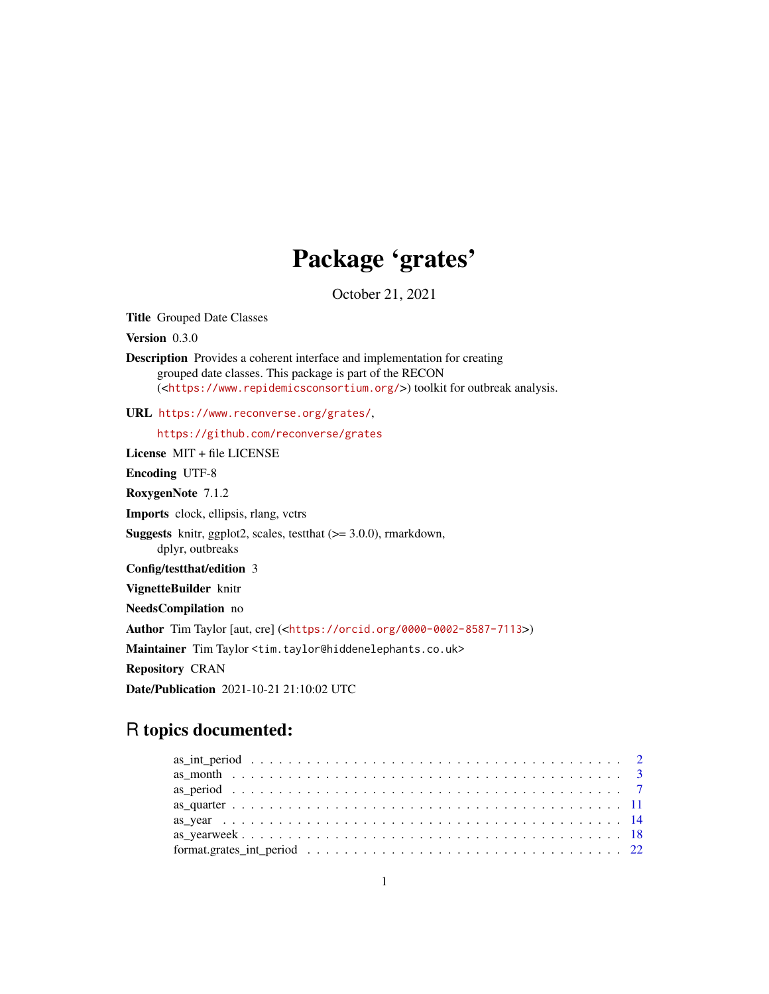## Package 'grates'

October 21, 2021

<span id="page-0-0"></span>Title Grouped Date Classes

Version 0.3.0

Description Provides a coherent interface and implementation for creating grouped date classes. This package is part of the RECON (<<https://www.repidemicsconsortium.org/>>) toolkit for outbreak analysis.

URL <https://www.reconverse.org/grates/>,

<https://github.com/reconverse/grates>

License MIT + file LICENSE

Encoding UTF-8

RoxygenNote 7.1.2

Imports clock, ellipsis, rlang, vctrs

Suggests knitr, ggplot2, scales, testthat (>= 3.0.0), rmarkdown, dplyr, outbreaks

Config/testthat/edition 3

VignetteBuilder knitr

NeedsCompilation no

Author Tim Taylor [aut, cre] (<<https://orcid.org/0000-0002-8587-7113>>)

Maintainer Tim Taylor <tim.taylor@hiddenelephants.co.uk>

Repository CRAN

Date/Publication 2021-10-21 21:10:02 UTC

## R topics documented: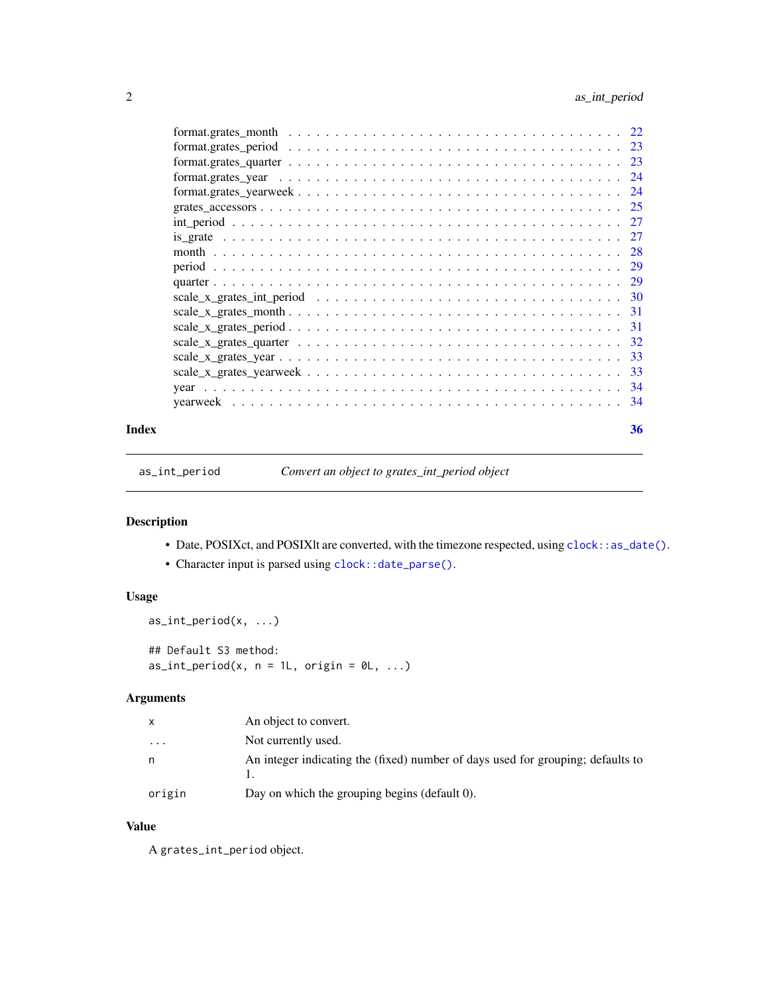<span id="page-1-0"></span>

| Index |                                         |  |  |  |  |  |  |  |  |  |  |  |  |  | 36 |
|-------|-----------------------------------------|--|--|--|--|--|--|--|--|--|--|--|--|--|----|
|       |                                         |  |  |  |  |  |  |  |  |  |  |  |  |  |    |
|       |                                         |  |  |  |  |  |  |  |  |  |  |  |  |  |    |
|       |                                         |  |  |  |  |  |  |  |  |  |  |  |  |  |    |
|       |                                         |  |  |  |  |  |  |  |  |  |  |  |  |  |    |
|       |                                         |  |  |  |  |  |  |  |  |  |  |  |  |  |    |
|       |                                         |  |  |  |  |  |  |  |  |  |  |  |  |  |    |
|       |                                         |  |  |  |  |  |  |  |  |  |  |  |  |  |    |
|       | $scale_x_grates_intperiod           30$ |  |  |  |  |  |  |  |  |  |  |  |  |  |    |
|       |                                         |  |  |  |  |  |  |  |  |  |  |  |  |  |    |
|       |                                         |  |  |  |  |  |  |  |  |  |  |  |  |  |    |
|       |                                         |  |  |  |  |  |  |  |  |  |  |  |  |  |    |
|       |                                         |  |  |  |  |  |  |  |  |  |  |  |  |  |    |
|       |                                         |  |  |  |  |  |  |  |  |  |  |  |  |  |    |
|       |                                         |  |  |  |  |  |  |  |  |  |  |  |  |  |    |
|       |                                         |  |  |  |  |  |  |  |  |  |  |  |  |  |    |
|       |                                         |  |  |  |  |  |  |  |  |  |  |  |  |  |    |
|       |                                         |  |  |  |  |  |  |  |  |  |  |  |  |  |    |
|       |                                         |  |  |  |  |  |  |  |  |  |  |  |  |  |    |
|       |                                         |  |  |  |  |  |  |  |  |  |  |  |  |  |    |

as\_int\_period *Convert an object to grates\_int\_period object*

## Description

- Date, POSIXct, and POSIXlt are converted, with the timezone respected, using [clock::as\\_date\(\)](#page-0-0).
- Character input is parsed using [clock::date\\_parse\(\)](#page-0-0).

## Usage

```
as_int_period(x, ...)
## Default S3 method:
as\_int\_period(x, n = 1L, origin = 0L, ...)
```
## Arguments

|          | An object to convert.                                                           |
|----------|---------------------------------------------------------------------------------|
| $\cdots$ | Not currently used.                                                             |
| n        | An integer indicating the (fixed) number of days used for grouping; defaults to |
| origin   | Day on which the grouping begins (default 0).                                   |

## Value

A grates\_int\_period object.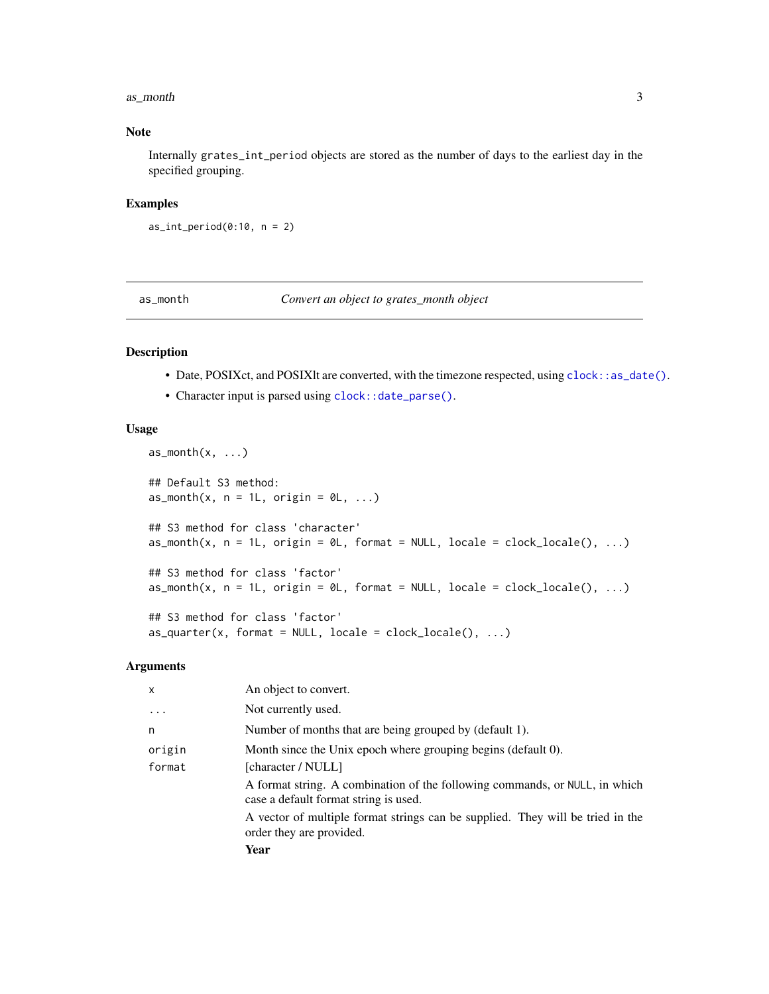#### <span id="page-2-0"></span>as\_month 3

## Note

Internally grates\_int\_period objects are stored as the number of days to the earliest day in the specified grouping.

## Examples

```
as\_int\_period(0:10, n = 2)
```
as\_month *Convert an object to grates\_month object*

## Description

- Date, POSIXct, and POSIXlt are converted, with the timezone respected, using [clock::as\\_date\(\)](#page-0-0).
- Character input is parsed using [clock::date\\_parse\(\)](#page-0-0).

#### Usage

```
as\_month(x, \ldots)## Default S3 method:
as\_month(x, n = 1L, origin = 0L, ...)## S3 method for class 'character'
as\_month(x, n = 1L, origin = 0L, format = NULL, locale = clock\_local(e), ...)## S3 method for class 'factor'
as\_month(x, n = 1L, origin = 0L, format = NULL, locale = clock\_local(0), ...)## S3 method for class 'factor'
as\_quarter(x, format = NULL, locale = clock\_ locale(), ...)
```
#### Arguments

| $\mathsf{x}$ | An object to convert.                                                                                                |
|--------------|----------------------------------------------------------------------------------------------------------------------|
| $\cdot$      | Not currently used.                                                                                                  |
| n            | Number of months that are being grouped by (default 1).                                                              |
| origin       | Month since the Unix epoch where grouping begins (default 0).                                                        |
| format       | [character / NULL]                                                                                                   |
|              | A format string. A combination of the following commands, or NULL, in which<br>case a default format string is used. |
|              | A vector of multiple format strings can be supplied. They will be tried in the<br>order they are provided.           |
|              | Year                                                                                                                 |
|              |                                                                                                                      |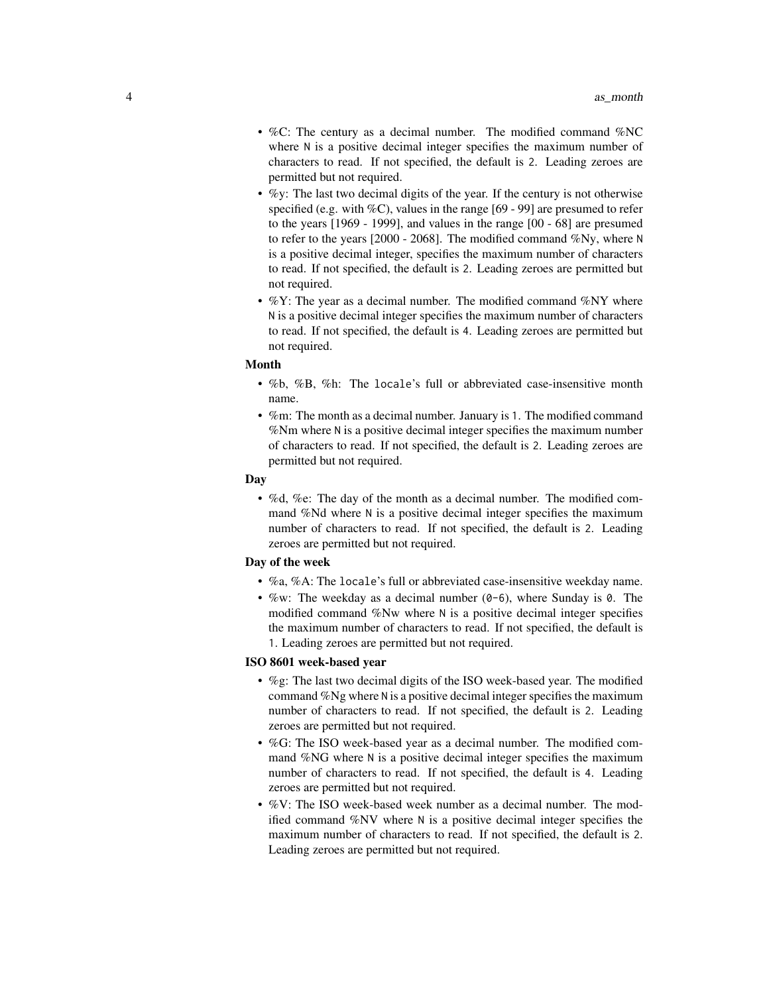- %C: The century as a decimal number. The modified command %NC where N is a positive decimal integer specifies the maximum number of characters to read. If not specified, the default is 2. Leading zeroes are permitted but not required.
- $\%$ y: The last two decimal digits of the year. If the century is not otherwise specified (e.g. with  $\%C$ ), values in the range [69 - 99] are presumed to refer to the years [1969 - 1999], and values in the range [00 - 68] are presumed to refer to the years [2000 - 2068]. The modified command %Ny, where N is a positive decimal integer, specifies the maximum number of characters to read. If not specified, the default is 2. Leading zeroes are permitted but not required.
- %Y: The year as a decimal number. The modified command %NY where N is a positive decimal integer specifies the maximum number of characters to read. If not specified, the default is 4. Leading zeroes are permitted but not required.

#### Month

- %b, %B, %h: The locale's full or abbreviated case-insensitive month name.
- %m: The month as a decimal number. January is 1. The modified command %Nm where N is a positive decimal integer specifies the maximum number of characters to read. If not specified, the default is 2. Leading zeroes are permitted but not required.

#### Day

• %d, %e: The day of the month as a decimal number. The modified command %Nd where N is a positive decimal integer specifies the maximum number of characters to read. If not specified, the default is 2. Leading zeroes are permitted but not required.

#### Day of the week

- %a, %A: The locale's full or abbreviated case-insensitive weekday name.
- %w: The weekday as a decimal number  $(0-6)$ , where Sunday is 0. The modified command %Nw where N is a positive decimal integer specifies the maximum number of characters to read. If not specified, the default is 1. Leading zeroes are permitted but not required.

#### ISO 8601 week-based year

- %g: The last two decimal digits of the ISO week-based year. The modified command %Ng where N is a positive decimal integer specifies the maximum number of characters to read. If not specified, the default is 2. Leading zeroes are permitted but not required.
- %G: The ISO week-based year as a decimal number. The modified command %NG where N is a positive decimal integer specifies the maximum number of characters to read. If not specified, the default is 4. Leading zeroes are permitted but not required.
- %V: The ISO week-based week number as a decimal number. The modified command %NV where N is a positive decimal integer specifies the maximum number of characters to read. If not specified, the default is 2. Leading zeroes are permitted but not required.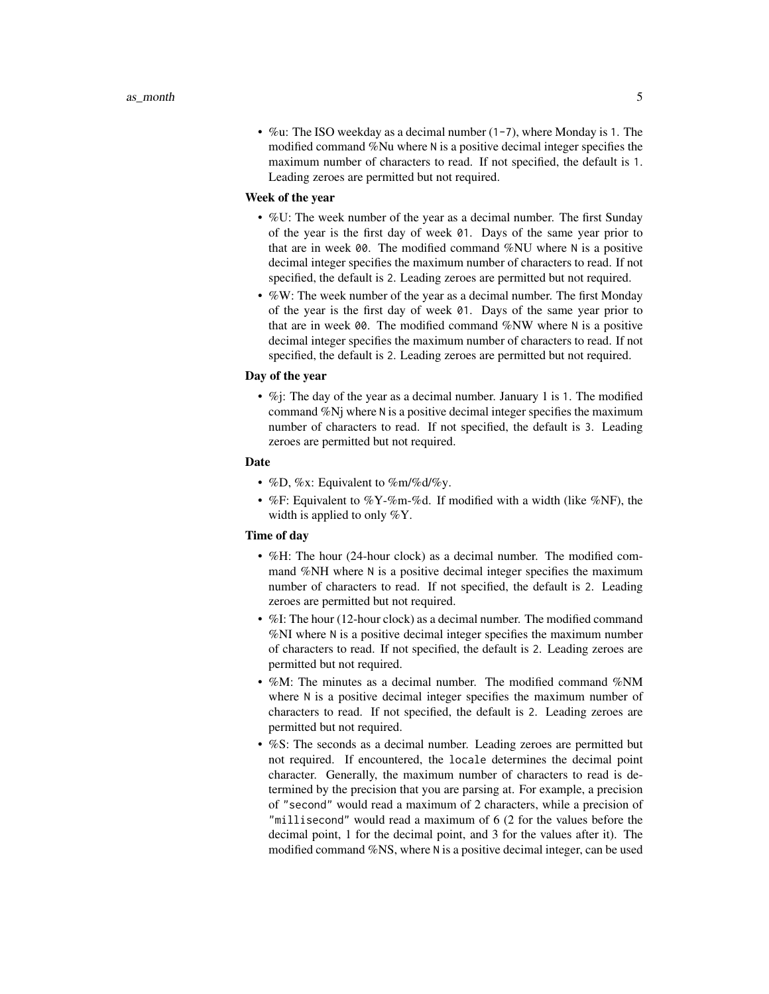• %u: The ISO weekday as a decimal number  $(1-7)$ , where Monday is 1. The modified command %Nu where N is a positive decimal integer specifies the maximum number of characters to read. If not specified, the default is 1. Leading zeroes are permitted but not required.

#### Week of the year

- %U: The week number of the year as a decimal number. The first Sunday of the year is the first day of week 01. Days of the same year prior to that are in week 00. The modified command %NU where N is a positive decimal integer specifies the maximum number of characters to read. If not specified, the default is 2. Leading zeroes are permitted but not required.
- %W: The week number of the year as a decimal number. The first Monday of the year is the first day of week 01. Days of the same year prior to that are in week 00. The modified command %NW where N is a positive decimal integer specifies the maximum number of characters to read. If not specified, the default is 2. Leading zeroes are permitted but not required.

#### Day of the year

• %*j*: The day of the year as a decimal number. January 1 is 1. The modified command %Nj where N is a positive decimal integer specifies the maximum number of characters to read. If not specified, the default is 3. Leading zeroes are permitted but not required.

#### Date

- %D, %x: Equivalent to %m/%d/%y.
- %F: Equivalent to %Y-%m-%d. If modified with a width (like %NF), the width is applied to only %Y.

## Time of day

- %H: The hour (24-hour clock) as a decimal number. The modified command %NH where N is a positive decimal integer specifies the maximum number of characters to read. If not specified, the default is 2. Leading zeroes are permitted but not required.
- %I: The hour (12-hour clock) as a decimal number. The modified command %NI where N is a positive decimal integer specifies the maximum number of characters to read. If not specified, the default is 2. Leading zeroes are permitted but not required.
- %M: The minutes as a decimal number. The modified command %NM where N is a positive decimal integer specifies the maximum number of characters to read. If not specified, the default is 2. Leading zeroes are permitted but not required.
- %S: The seconds as a decimal number. Leading zeroes are permitted but not required. If encountered, the locale determines the decimal point character. Generally, the maximum number of characters to read is determined by the precision that you are parsing at. For example, a precision of "second" would read a maximum of 2 characters, while a precision of "millisecond" would read a maximum of 6 (2 for the values before the decimal point, 1 for the decimal point, and 3 for the values after it). The modified command %NS, where N is a positive decimal integer, can be used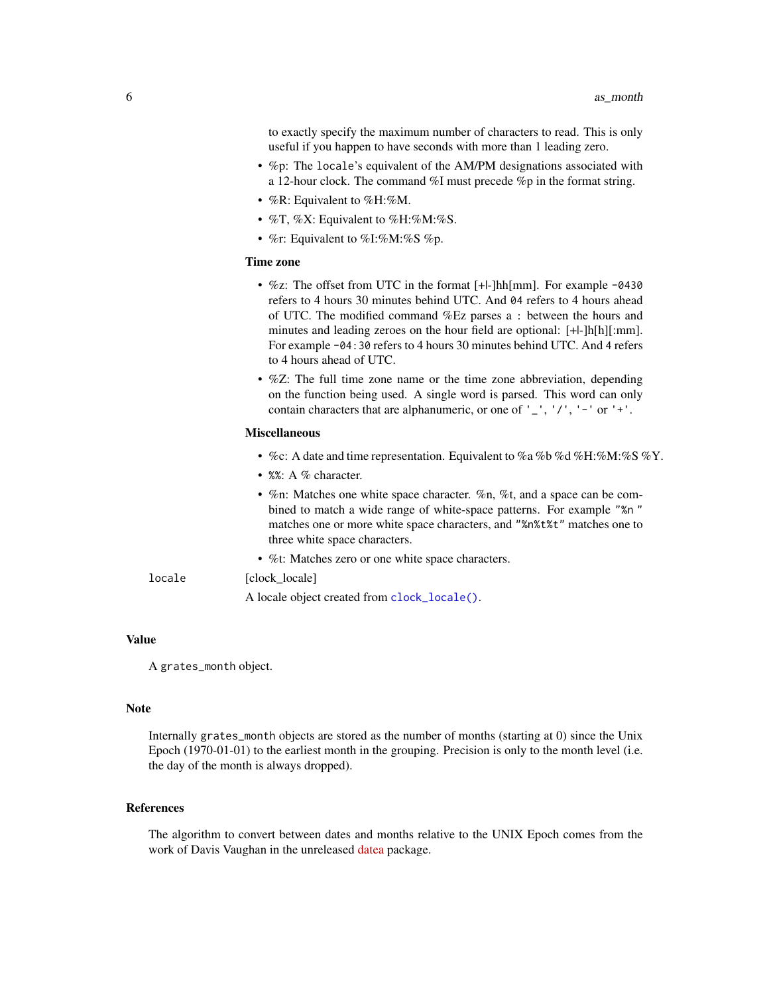<span id="page-5-0"></span>to exactly specify the maximum number of characters to read. This is only useful if you happen to have seconds with more than 1 leading zero.

- %p: The locale's equivalent of the AM/PM designations associated with a 12-hour clock. The command %I must precede %p in the format string.
- %R: Equivalent to %H:%M.
- %T, %X: Equivalent to %H:%M:%S.
- %r: Equivalent to %I:%M:%S %p.

#### Time zone

- $\%$ z: The offset from UTC in the format [+|-]hh[mm]. For example -0430 refers to 4 hours 30 minutes behind UTC. And 04 refers to 4 hours ahead of UTC. The modified command %Ez parses a : between the hours and minutes and leading zeroes on the hour field are optional: [+|-]h[h][:mm]. For example -04:30 refers to 4 hours 30 minutes behind UTC. And 4 refers to 4 hours ahead of UTC.
- %Z: The full time zone name or the time zone abbreviation, depending on the function being used. A single word is parsed. This word can only contain characters that are alphanumeric, or one of  $'$ ,  $'$ ,  $'$ ,  $'$ ,  $'$  -  $'$  or  $'$ + $'$ .

#### Miscellaneous

- %c: A date and time representation. Equivalent to %a %b %d %H:%M:%S %Y.
- %%: A % character.
- %n: Matches one white space character. %n, %t, and a space can be combined to match a wide range of white-space patterns. For example "%n " matches one or more white space characters, and "%n%t%t" matches one to three white space characters.
- %t: Matches zero or one white space characters.

## locale [clock\_locale]

A locale object created from [clock\\_locale\(\)](#page-0-0).

#### Value

A grates\_month object.

#### Note

Internally grates\_month objects are stored as the number of months (starting at 0) since the Unix Epoch (1970-01-01) to the earliest month in the grouping. Precision is only to the month level (i.e. the day of the month is always dropped).

#### References

The algorithm to convert between dates and months relative to the UNIX Epoch comes from the work of Davis Vaughan in the unreleased [datea](https://github.com/DavisVaughan/datea/) package.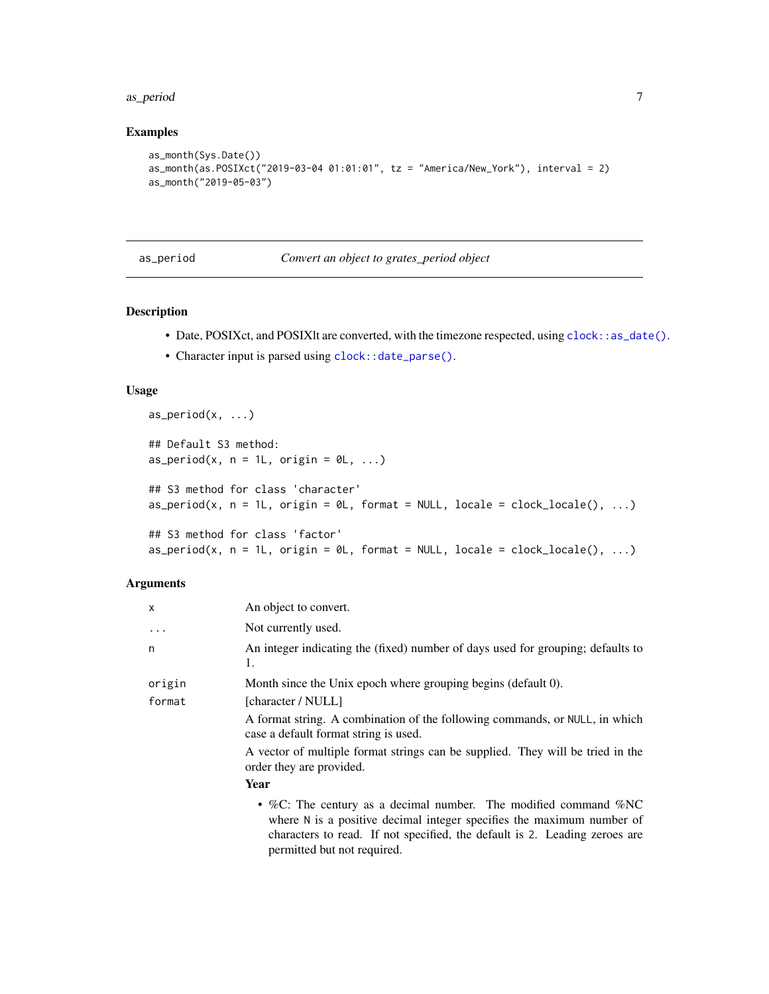#### <span id="page-6-0"></span>as\_period 7

## Examples

```
as_month(Sys.Date())
as_month(as.POSIXct("2019-03-04 01:01:01", tz = "America/New_York"), interval = 2)
as_month("2019-05-03")
```
#### as\_period *Convert an object to grates\_period object*

## Description

- Date, POSIXct, and POSIXlt are converted, with the timezone respected, using [clock::as\\_date\(\)](#page-0-0).
- Character input is parsed using [clock::date\\_parse\(\)](#page-0-0).

### Usage

```
as\_period(x, \ldots)## Default S3 method:
as\_period(x, n = 1L, origin = 0L, ...)## S3 method for class 'character'
as\_period(x, n = 1L, origin = 0L, format = NULL, locale = clock\_locale(), ...)## S3 method for class 'factor'
as\_period(x, n = 1L, origin = 0L, format = NULL, locale = clock\_local(e), ...)
```
#### Arguments

| $\mathsf{x}$ | An object to convert.                                                                                                                                                                                                                                      |
|--------------|------------------------------------------------------------------------------------------------------------------------------------------------------------------------------------------------------------------------------------------------------------|
| $\ddots$ .   | Not currently used.                                                                                                                                                                                                                                        |
| n            | An integer indicating the (fixed) number of days used for grouping; defaults to<br>1.                                                                                                                                                                      |
| origin       | Month since the Unix epoch where grouping begins (default 0).                                                                                                                                                                                              |
| format       | [character / NULL]                                                                                                                                                                                                                                         |
|              | A format string. A combination of the following commands, or NULL, in which<br>case a default format string is used.                                                                                                                                       |
|              | A vector of multiple format strings can be supplied. They will be tried in the<br>order they are provided.                                                                                                                                                 |
|              | Year                                                                                                                                                                                                                                                       |
|              | • %C: The century as a decimal number. The modified command % $NC$<br>where $N$ is a positive decimal integer specifies the maximum number of<br>characters to read. If not specified, the default is 2. Leading zeroes are<br>permitted but not required. |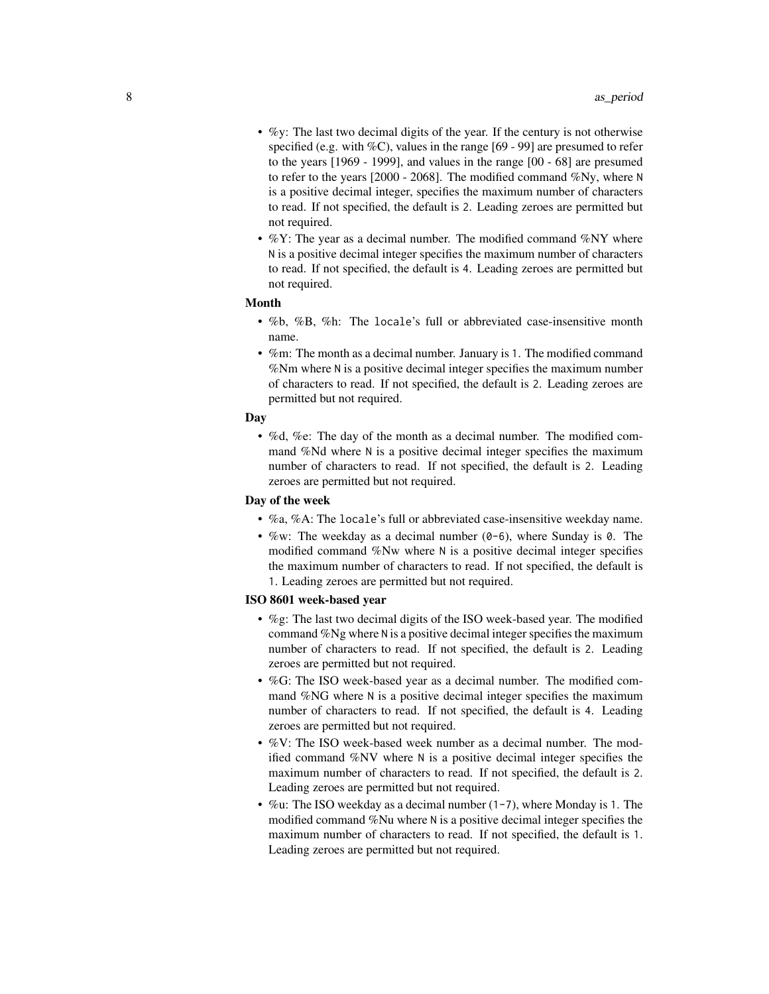- %y: The last two decimal digits of the year. If the century is not otherwise specified (e.g. with  $\%C$ ), values in the range [69 - 99] are presumed to refer to the years [1969 - 1999], and values in the range [00 - 68] are presumed to refer to the years [2000 - 2068]. The modified command %Ny, where N is a positive decimal integer, specifies the maximum number of characters to read. If not specified, the default is 2. Leading zeroes are permitted but not required.
- $\%$ Y: The year as a decimal number. The modified command  $\%$ NY where N is a positive decimal integer specifies the maximum number of characters to read. If not specified, the default is 4. Leading zeroes are permitted but not required.

## Month

- %b, %B, %h: The locale's full or abbreviated case-insensitive month name.
- %m: The month as a decimal number. January is 1. The modified command %Nm where N is a positive decimal integer specifies the maximum number of characters to read. If not specified, the default is 2. Leading zeroes are permitted but not required.

#### Day

• %d, %e: The day of the month as a decimal number. The modified command %Nd where N is a positive decimal integer specifies the maximum number of characters to read. If not specified, the default is 2. Leading zeroes are permitted but not required.

#### Day of the week

- %a, %A: The locale's full or abbreviated case-insensitive weekday name.
- $\%$ w: The weekday as a decimal number (0-6), where Sunday is 0. The modified command %Nw where N is a positive decimal integer specifies the maximum number of characters to read. If not specified, the default is 1. Leading zeroes are permitted but not required.

## ISO 8601 week-based year

- %g: The last two decimal digits of the ISO week-based year. The modified command %Ng where N is a positive decimal integer specifies the maximum number of characters to read. If not specified, the default is 2. Leading zeroes are permitted but not required.
- %G: The ISO week-based year as a decimal number. The modified command %NG where N is a positive decimal integer specifies the maximum number of characters to read. If not specified, the default is 4. Leading zeroes are permitted but not required.
- %V: The ISO week-based week number as a decimal number. The modified command %NV where N is a positive decimal integer specifies the maximum number of characters to read. If not specified, the default is 2. Leading zeroes are permitted but not required.
- %u: The ISO weekday as a decimal number (1-7), where Monday is 1. The modified command %Nu where N is a positive decimal integer specifies the maximum number of characters to read. If not specified, the default is 1. Leading zeroes are permitted but not required.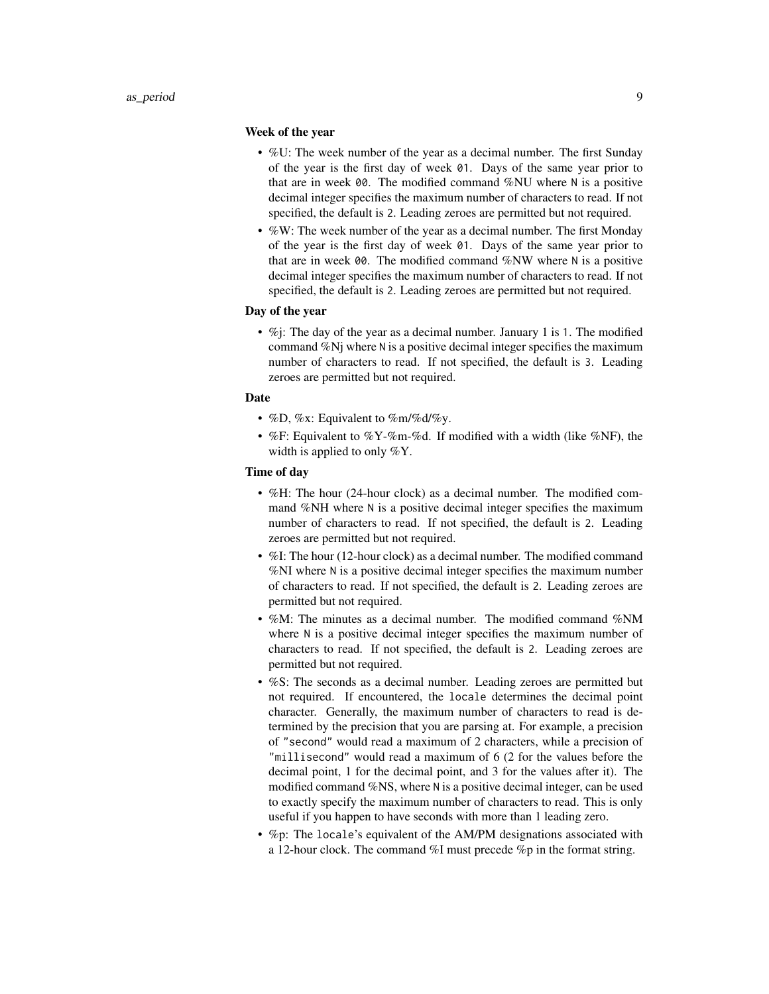#### Week of the year

- %U: The week number of the year as a decimal number. The first Sunday of the year is the first day of week 01. Days of the same year prior to that are in week 00. The modified command %NU where N is a positive decimal integer specifies the maximum number of characters to read. If not specified, the default is 2. Leading zeroes are permitted but not required.
- %W: The week number of the year as a decimal number. The first Monday of the year is the first day of week 01. Days of the same year prior to that are in week 00. The modified command %NW where N is a positive decimal integer specifies the maximum number of characters to read. If not specified, the default is 2. Leading zeroes are permitted but not required.

## Day of the year

• %j: The day of the year as a decimal number. January 1 is 1. The modified command %Nj where N is a positive decimal integer specifies the maximum number of characters to read. If not specified, the default is 3. Leading zeroes are permitted but not required.

## Date

- %D, %x: Equivalent to %m/%d/%y.
- %F: Equivalent to %Y-%m-%d. If modified with a width (like %NF), the width is applied to only %Y.

## Time of day

- %H: The hour (24-hour clock) as a decimal number. The modified command %NH where N is a positive decimal integer specifies the maximum number of characters to read. If not specified, the default is 2. Leading zeroes are permitted but not required.
- %I: The hour (12-hour clock) as a decimal number. The modified command %NI where N is a positive decimal integer specifies the maximum number of characters to read. If not specified, the default is 2. Leading zeroes are permitted but not required.
- %M: The minutes as a decimal number. The modified command %NM where N is a positive decimal integer specifies the maximum number of characters to read. If not specified, the default is 2. Leading zeroes are permitted but not required.
- %S: The seconds as a decimal number. Leading zeroes are permitted but not required. If encountered, the locale determines the decimal point character. Generally, the maximum number of characters to read is determined by the precision that you are parsing at. For example, a precision of "second" would read a maximum of 2 characters, while a precision of "millisecond" would read a maximum of 6 (2 for the values before the decimal point, 1 for the decimal point, and 3 for the values after it). The modified command %NS, where N is a positive decimal integer, can be used to exactly specify the maximum number of characters to read. This is only useful if you happen to have seconds with more than 1 leading zero.
- %p: The locale's equivalent of the AM/PM designations associated with a 12-hour clock. The command %I must precede %p in the format string.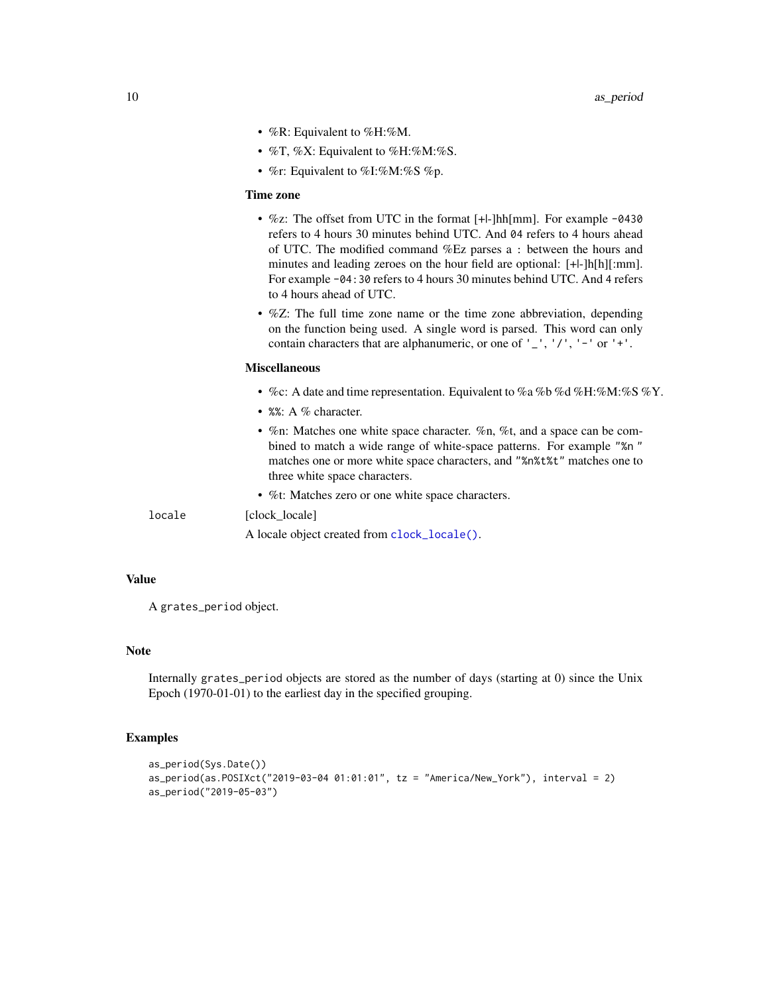- <span id="page-9-0"></span>• %R: Equivalent to %H:%M.
- %T, %X: Equivalent to %H:%M:%S.
- %r: Equivalent to %I:%M:%S %p.

#### Time zone

- %z: The offset from UTC in the format [+|-]hh[mm]. For example -0430 refers to 4 hours 30 minutes behind UTC. And 04 refers to 4 hours ahead of UTC. The modified command %Ez parses a : between the hours and minutes and leading zeroes on the hour field are optional: [+|-]h[h][:mm]. For example -04:30 refers to 4 hours 30 minutes behind UTC. And 4 refers to 4 hours ahead of UTC.
- %Z: The full time zone name or the time zone abbreviation, depending on the function being used. A single word is parsed. This word can only contain characters that are alphanumeric, or one of  $'$ ,  $'$ ,  $'$ ,  $'$ ,  $'$  -  $'$  or  $'$ + $'$ .

#### Miscellaneous

- %c: A date and time representation. Equivalent to %a %b %d %H:%M:%S %Y.
- %%: A % character.
- %n: Matches one white space character. %n, %t, and a space can be combined to match a wide range of white-space patterns. For example "%n " matches one or more white space characters, and "%n%t%t" matches one to three white space characters.
- %t: Matches zero or one white space characters.

locale [clock\_locale]

A locale object created from [clock\\_locale\(\)](#page-0-0).

#### Value

A grates\_period object.

#### Note

Internally grates\_period objects are stored as the number of days (starting at 0) since the Unix Epoch (1970-01-01) to the earliest day in the specified grouping.

## Examples

```
as_period(Sys.Date())
as_period(as.POSIXct("2019-03-04 01:01:01", tz = "America/New_York"), interval = 2)
as_period("2019-05-03")
```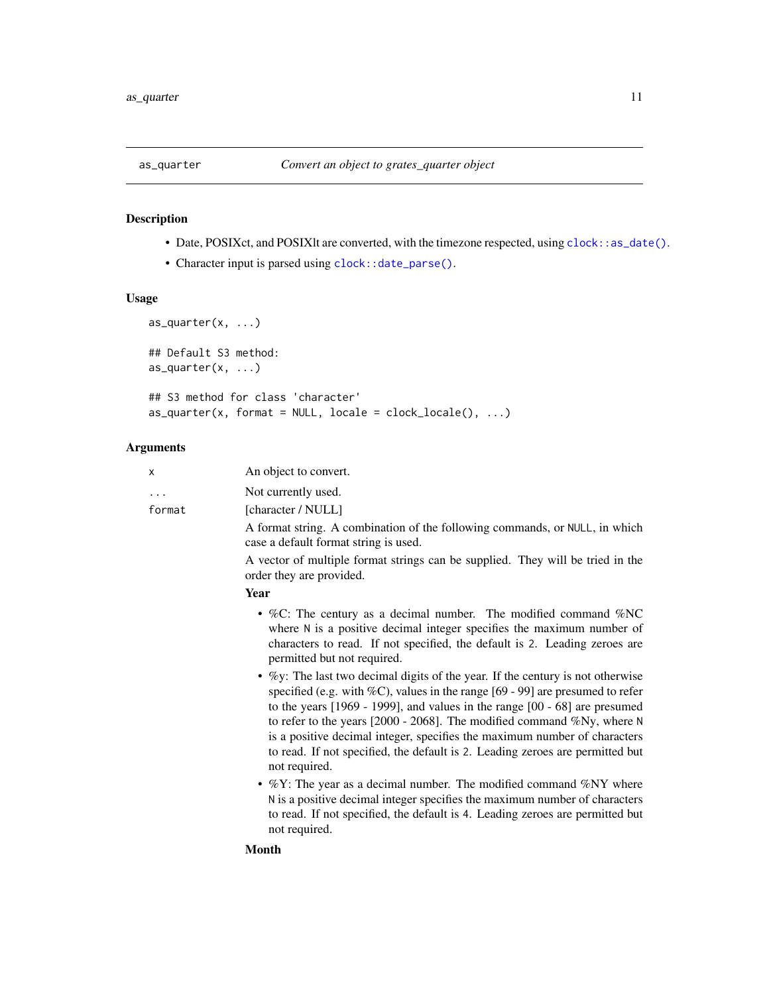<span id="page-10-0"></span>

## Description

- Date, POSIXct, and POSIXlt are converted, with the timezone respected, using [clock::as\\_date\(\)](#page-0-0).
- Character input is parsed using [clock::date\\_parse\(\)](#page-0-0).

## Usage

```
as_quarter(x, ...)
## Default S3 method:
as_quarter(x, ...)
## S3 method for class 'character'
as\_quarter(x, format = NULL, locale = clock\_ locale(), ...)
```
## Arguments

| X           | An object to convert.                                                                                                                                                                                                                                                                                                                                                                                                            |
|-------------|----------------------------------------------------------------------------------------------------------------------------------------------------------------------------------------------------------------------------------------------------------------------------------------------------------------------------------------------------------------------------------------------------------------------------------|
| .<br>format | Not currently used.<br>[character / NULL]                                                                                                                                                                                                                                                                                                                                                                                        |
|             | A format string. A combination of the following commands, or NULL, in which<br>case a default format string is used.                                                                                                                                                                                                                                                                                                             |
|             | A vector of multiple format strings can be supplied. They will be tried in the<br>order they are provided.                                                                                                                                                                                                                                                                                                                       |
|             | Year                                                                                                                                                                                                                                                                                                                                                                                                                             |
|             | • %C: The century as a decimal number. The modified command %NC<br>where N is a positive decimal integer specifies the maximum number of<br>characters to read. If not specified, the default is 2. Leading zeroes are<br>permitted but not required.<br>• $\%$ y: The last two decimal digits of the year. If the century is not otherwise<br>specified (e.g. with $\%C$ ), values in the range [69 - 99] are presumed to refer |
|             | to the years $[1969 - 1999]$ , and values in the range $[00 - 68]$ are presumed<br>to refer to the years [2000 - 2068]. The modified command $\%$ Ny, where N<br>is a positive decimal integer, specifies the maximum number of characters<br>to read. If not specified, the default is 2. Leading zeroes are permitted but<br>not required.                                                                                     |
|             | • $\%$ Y: The year as a decimal number. The modified command $\%$ NY where<br>N is a positive decimal integer specifies the maximum number of characters<br>to read. If not specified, the default is 4. Leading zeroes are permitted but<br>not required.                                                                                                                                                                       |
|             | <b>Month</b>                                                                                                                                                                                                                                                                                                                                                                                                                     |
|             |                                                                                                                                                                                                                                                                                                                                                                                                                                  |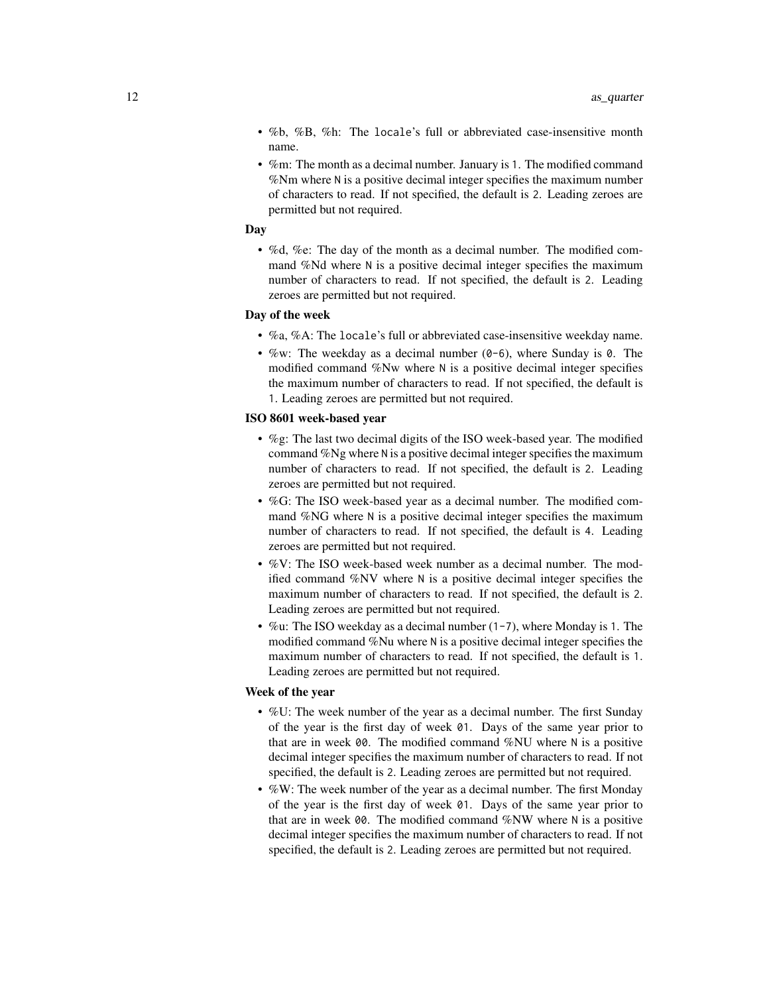- %b, %B, %h: The locale's full or abbreviated case-insensitive month name.
- %m: The month as a decimal number. January is 1. The modified command %Nm where N is a positive decimal integer specifies the maximum number of characters to read. If not specified, the default is 2. Leading zeroes are permitted but not required.

## **Day**

• %d, %e: The day of the month as a decimal number. The modified command %Nd where N is a positive decimal integer specifies the maximum number of characters to read. If not specified, the default is 2. Leading zeroes are permitted but not required.

## Day of the week

- %a, %A: The locale's full or abbreviated case-insensitive weekday name.
- $\%$ w: The weekday as a decimal number (0-6), where Sunday is 0. The modified command %Nw where N is a positive decimal integer specifies the maximum number of characters to read. If not specified, the default is 1. Leading zeroes are permitted but not required.

#### ISO 8601 week-based year

- %g: The last two decimal digits of the ISO week-based year. The modified command %Ng where N is a positive decimal integer specifies the maximum number of characters to read. If not specified, the default is 2. Leading zeroes are permitted but not required.
- %G: The ISO week-based year as a decimal number. The modified command %NG where N is a positive decimal integer specifies the maximum number of characters to read. If not specified, the default is 4. Leading zeroes are permitted but not required.
- %V: The ISO week-based week number as a decimal number. The modified command %NV where N is a positive decimal integer specifies the maximum number of characters to read. If not specified, the default is 2. Leading zeroes are permitted but not required.
- %u: The ISO weekday as a decimal number (1-7), where Monday is 1. The modified command %Nu where N is a positive decimal integer specifies the maximum number of characters to read. If not specified, the default is 1. Leading zeroes are permitted but not required.

#### Week of the year

- %U: The week number of the year as a decimal number. The first Sunday of the year is the first day of week 01. Days of the same year prior to that are in week 00. The modified command %NU where N is a positive decimal integer specifies the maximum number of characters to read. If not specified, the default is 2. Leading zeroes are permitted but not required.
- %W: The week number of the year as a decimal number. The first Monday of the year is the first day of week 01. Days of the same year prior to that are in week 00. The modified command %NW where N is a positive decimal integer specifies the maximum number of characters to read. If not specified, the default is 2. Leading zeroes are permitted but not required.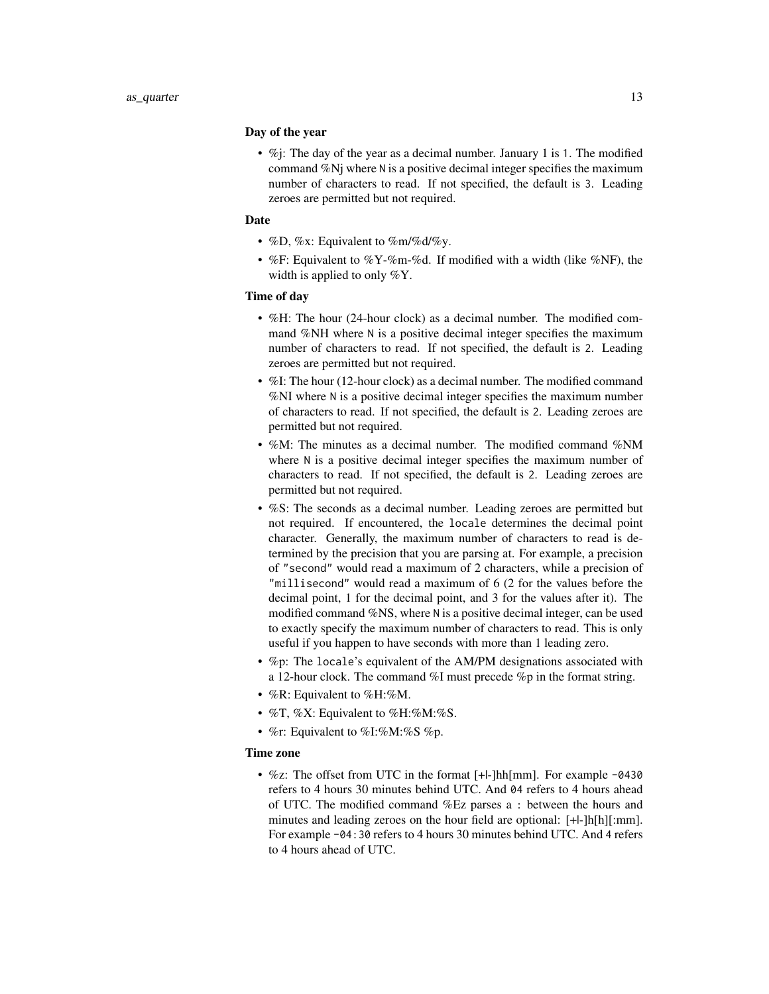#### Day of the year

• %*i*: The day of the year as a decimal number. January 1 is 1. The modified command %Nj where N is a positive decimal integer specifies the maximum number of characters to read. If not specified, the default is 3. Leading zeroes are permitted but not required.

## Date

- %D, %x: Equivalent to %m/%d/%y.
- %F: Equivalent to %Y-%m-%d. If modified with a width (like %NF), the width is applied to only %Y.

## Time of day

- %H: The hour (24-hour clock) as a decimal number. The modified command %NH where N is a positive decimal integer specifies the maximum number of characters to read. If not specified, the default is 2. Leading zeroes are permitted but not required.
- %I: The hour (12-hour clock) as a decimal number. The modified command %NI where N is a positive decimal integer specifies the maximum number of characters to read. If not specified, the default is 2. Leading zeroes are permitted but not required.
- %M: The minutes as a decimal number. The modified command %NM where N is a positive decimal integer specifies the maximum number of characters to read. If not specified, the default is 2. Leading zeroes are permitted but not required.
- %S: The seconds as a decimal number. Leading zeroes are permitted but not required. If encountered, the locale determines the decimal point character. Generally, the maximum number of characters to read is determined by the precision that you are parsing at. For example, a precision of "second" would read a maximum of 2 characters, while a precision of "millisecond" would read a maximum of 6 (2 for the values before the decimal point, 1 for the decimal point, and 3 for the values after it). The modified command %NS, where N is a positive decimal integer, can be used to exactly specify the maximum number of characters to read. This is only useful if you happen to have seconds with more than 1 leading zero.
- %p: The locale's equivalent of the AM/PM designations associated with a 12-hour clock. The command %I must precede %p in the format string.
- %R: Equivalent to %H:%M.
- %T, %X: Equivalent to %H:%M:%S.
- %r: Equivalent to %I:%M:%S %p.

#### Time zone

•  $\%$ z: The offset from UTC in the format [+|-]hh[mm]. For example -0430 refers to 4 hours 30 minutes behind UTC. And 04 refers to 4 hours ahead of UTC. The modified command %Ez parses a : between the hours and minutes and leading zeroes on the hour field are optional: [+|-]h[h][:mm]. For example -04:30 refers to 4 hours 30 minutes behind UTC. And 4 refers to 4 hours ahead of UTC.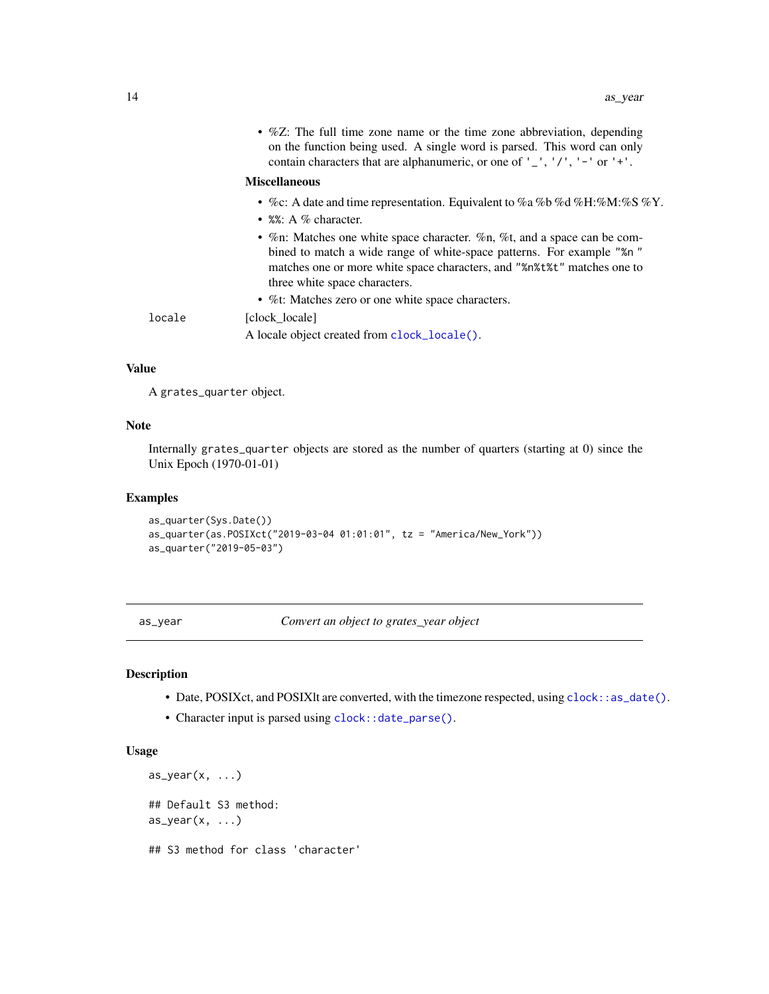<span id="page-13-0"></span>

| • %Z: The full time zone name or the time zone abbreviation, depending<br>on the function being used. A single word is parsed. This word can only<br>contain characters that are alphanumeric, or one of $'$ , $'/$ , $'$ - $'$ or $'$ + $'$ .                |
|---------------------------------------------------------------------------------------------------------------------------------------------------------------------------------------------------------------------------------------------------------------|
| <b>Miscellaneous</b>                                                                                                                                                                                                                                          |
| • %c: A date and time representation. Equivalent to %a %b %d %H: %M: %S %Y.<br>• $\frac{8\%}{8\%}$ : A % character.                                                                                                                                           |
| • %n: Matches one white space character. %n, %t, and a space can be com-<br>bined to match a wide range of white-space patterns. For example "%n"<br>matches one or more white space characters, and "%n%t%t" matches one to<br>three white space characters. |
| • %t: Matches zero or one white space characters.                                                                                                                                                                                                             |
| [clock locale]                                                                                                                                                                                                                                                |
| A locale object created from clock_locale().                                                                                                                                                                                                                  |
|                                                                                                                                                                                                                                                               |

### Value

A grates\_quarter object.

## Note

Internally grates\_quarter objects are stored as the number of quarters (starting at 0) since the Unix Epoch (1970-01-01)

#### Examples

```
as_quarter(Sys.Date())
as_quarter(as.POSIXct("2019-03-04 01:01:01", tz = "America/New_York"))
as_quarter("2019-05-03")
```
as\_year *Convert an object to grates\_year object*

## Description

- Date, POSIXct, and POSIXlt are converted, with the timezone respected, using [clock::as\\_date\(\)](#page-0-0).
- Character input is parsed using [clock::date\\_parse\(\)](#page-0-0).

## Usage

```
as_year(x, \ldots)## Default S3 method:
as_year(x, \ldots)## S3 method for class 'character'
```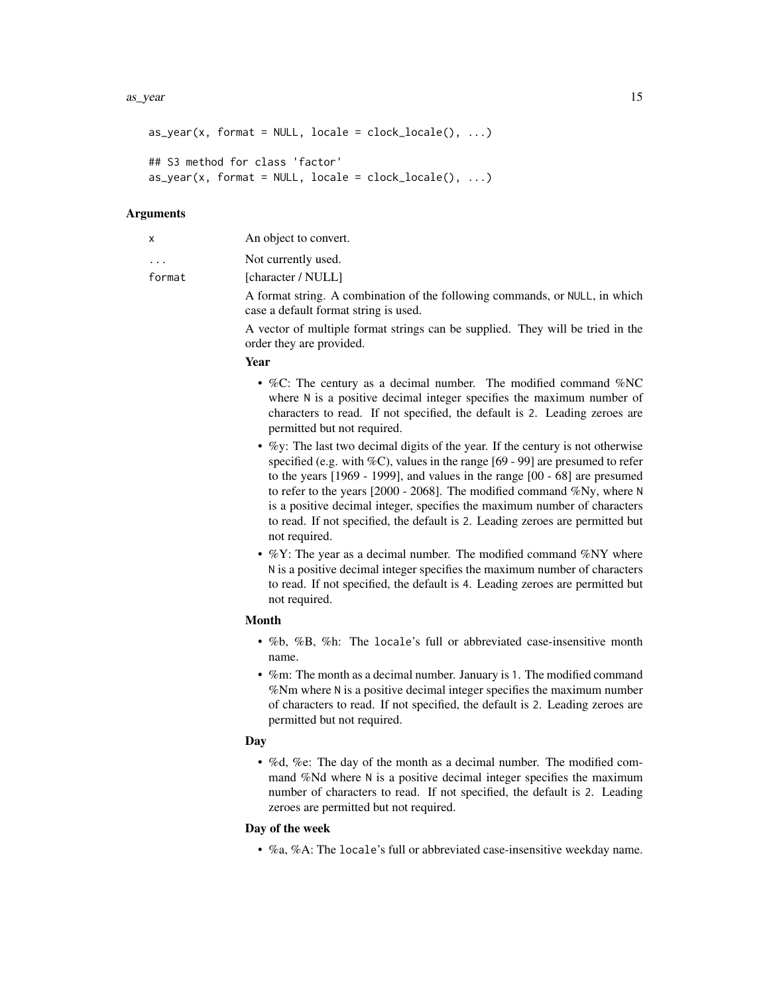#### as\_year 15

```
as_year(x, format = NULL, locale = clock\_ locale(), ...)
```

```
## S3 method for class 'factor'
as_year(x, format = NULL, locale = clock\_ locale(), ...)
```
#### Arguments

|                         | An object to convert.                                                                                                                                                                                                                                                                                                                            |
|-------------------------|--------------------------------------------------------------------------------------------------------------------------------------------------------------------------------------------------------------------------------------------------------------------------------------------------------------------------------------------------|
| $\cdot$ $\cdot$ $\cdot$ | Not currently used.                                                                                                                                                                                                                                                                                                                              |
| format                  | [character / NULL]                                                                                                                                                                                                                                                                                                                               |
|                         | $\lambda$ contract $\lambda$ and $\lambda$ contract $\lambda$ and $\lambda$ contract $\lambda$ and $\lambda$ and $\lambda$ and $\lambda$ and $\lambda$ and $\lambda$ and $\lambda$ and $\lambda$ and $\lambda$ and $\lambda$ and $\lambda$ and $\lambda$ and $\lambda$ and $\lambda$ and $\lambda$ and $\lambda$ and $\lambda$ and $\lambda$ and |

A format string. A combination of the following commands, or NULL, in which case a default format string is used.

A vector of multiple format strings can be supplied. They will be tried in the order they are provided.

#### Year

- %C: The century as a decimal number. The modified command %NC where N is a positive decimal integer specifies the maximum number of characters to read. If not specified, the default is 2. Leading zeroes are permitted but not required.
- %y: The last two decimal digits of the year. If the century is not otherwise specified (e.g. with %C), values in the range [69 - 99] are presumed to refer to the years [1969 - 1999], and values in the range [00 - 68] are presumed to refer to the years [2000 - 2068]. The modified command %Ny, where N is a positive decimal integer, specifies the maximum number of characters to read. If not specified, the default is 2. Leading zeroes are permitted but not required.
- %Y: The year as a decimal number. The modified command %NY where N is a positive decimal integer specifies the maximum number of characters to read. If not specified, the default is 4. Leading zeroes are permitted but not required.

## Month

- %b, %B, %h: The locale's full or abbreviated case-insensitive month name.
- %m: The month as a decimal number. January is 1. The modified command %Nm where N is a positive decimal integer specifies the maximum number of characters to read. If not specified, the default is 2. Leading zeroes are permitted but not required.

#### Day

• %d, %e: The day of the month as a decimal number. The modified command %Nd where N is a positive decimal integer specifies the maximum number of characters to read. If not specified, the default is 2. Leading zeroes are permitted but not required.

## Day of the week

• %a, %A: The locale's full or abbreviated case-insensitive weekday name.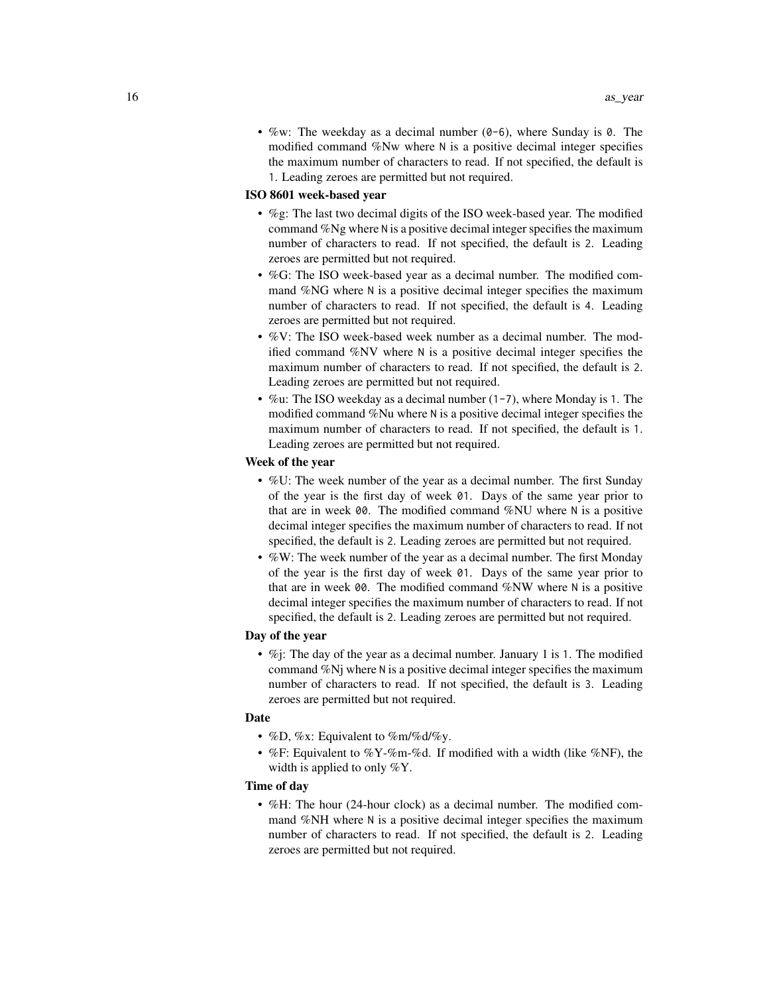• %w: The weekday as a decimal number  $(0-6)$ , where Sunday is 0. The modified command %Nw where N is a positive decimal integer specifies the maximum number of characters to read. If not specified, the default is 1. Leading zeroes are permitted but not required.

#### ISO 8601 week-based year

- %g: The last two decimal digits of the ISO week-based year. The modified command %Ng where N is a positive decimal integer specifies the maximum number of characters to read. If not specified, the default is 2. Leading zeroes are permitted but not required.
- %G: The ISO week-based year as a decimal number. The modified command %NG where N is a positive decimal integer specifies the maximum number of characters to read. If not specified, the default is 4. Leading zeroes are permitted but not required.
- %V: The ISO week-based week number as a decimal number. The modified command %NV where N is a positive decimal integer specifies the maximum number of characters to read. If not specified, the default is 2. Leading zeroes are permitted but not required.
- %u: The ISO weekday as a decimal number  $(1-7)$ , where Monday is 1. The modified command %Nu where N is a positive decimal integer specifies the maximum number of characters to read. If not specified, the default is 1. Leading zeroes are permitted but not required.

## Week of the year

- %U: The week number of the year as a decimal number. The first Sunday of the year is the first day of week 01. Days of the same year prior to that are in week 00. The modified command %NU where N is a positive decimal integer specifies the maximum number of characters to read. If not specified, the default is 2. Leading zeroes are permitted but not required.
- %W: The week number of the year as a decimal number. The first Monday of the year is the first day of week 01. Days of the same year prior to that are in week 00. The modified command %NW where N is a positive decimal integer specifies the maximum number of characters to read. If not specified, the default is 2. Leading zeroes are permitted but not required.

#### Day of the year

•  $\%$ j: The day of the year as a decimal number. January 1 is 1. The modified command %Nj where N is a positive decimal integer specifies the maximum number of characters to read. If not specified, the default is 3. Leading zeroes are permitted but not required.

## Date

- %D, %x: Equivalent to %m/%d/%y.
- %F: Equivalent to %Y-%m-%d. If modified with a width (like %NF), the width is applied to only %Y.

## Time of day

• %H: The hour (24-hour clock) as a decimal number. The modified command %NH where N is a positive decimal integer specifies the maximum number of characters to read. If not specified, the default is 2. Leading zeroes are permitted but not required.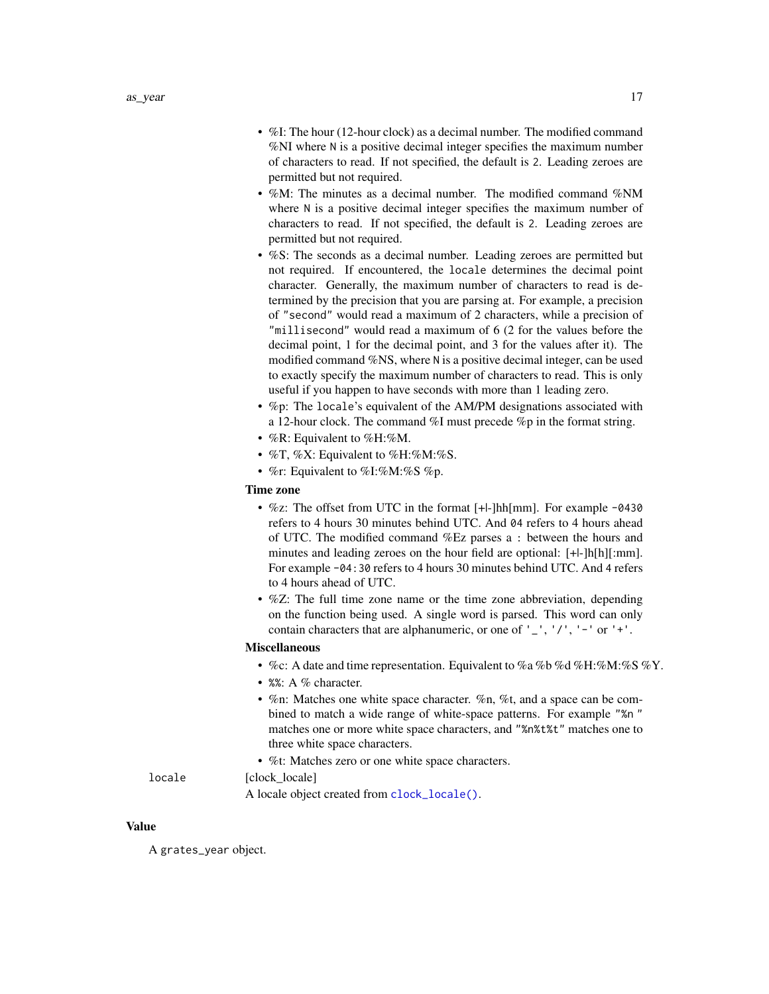- <span id="page-16-0"></span>• %I: The hour (12-hour clock) as a decimal number. The modified command %NI where N is a positive decimal integer specifies the maximum number of characters to read. If not specified, the default is 2. Leading zeroes are permitted but not required.
- %M: The minutes as a decimal number. The modified command %NM where N is a positive decimal integer specifies the maximum number of characters to read. If not specified, the default is 2. Leading zeroes are permitted but not required.
- %S: The seconds as a decimal number. Leading zeroes are permitted but not required. If encountered, the locale determines the decimal point character. Generally, the maximum number of characters to read is determined by the precision that you are parsing at. For example, a precision of "second" would read a maximum of 2 characters, while a precision of "millisecond" would read a maximum of 6 (2 for the values before the decimal point, 1 for the decimal point, and 3 for the values after it). The modified command %NS, where N is a positive decimal integer, can be used to exactly specify the maximum number of characters to read. This is only useful if you happen to have seconds with more than 1 leading zero.
- %p: The locale's equivalent of the AM/PM designations associated with a 12-hour clock. The command %I must precede %p in the format string.
- %R: Equivalent to %H:%M.
- %T, %X: Equivalent to %H:%M:%S.
- %r: Equivalent to %I:%M:%S %p.

#### Time zone

- %z: The offset from UTC in the format [+|-]hh[mm]. For example -0430 refers to 4 hours 30 minutes behind UTC. And 04 refers to 4 hours ahead of UTC. The modified command %Ez parses a : between the hours and minutes and leading zeroes on the hour field are optional: [+|-]h[h][:mm]. For example -04:30 refers to 4 hours 30 minutes behind UTC. And 4 refers to 4 hours ahead of UTC.
- %Z: The full time zone name or the time zone abbreviation, depending on the function being used. A single word is parsed. This word can only contain characters that are alphanumeric, or one of  $'$   $'$ ,  $'$ / $'$ ,  $'$  -  $'$  or  $'$  + $'$ .

#### Miscellaneous

- %c: A date and time representation. Equivalent to %a %b %d %H:%M:%S %Y.
- %%: A % character.
- %n: Matches one white space character. %n, %t, and a space can be combined to match a wide range of white-space patterns. For example "%n " matches one or more white space characters, and "%n%t%t" matches one to three white space characters.
- %t: Matches zero or one white space characters.

#### locale [clock locale]

A locale object created from [clock\\_locale\(\)](#page-0-0).

#### Value

A grates\_year object.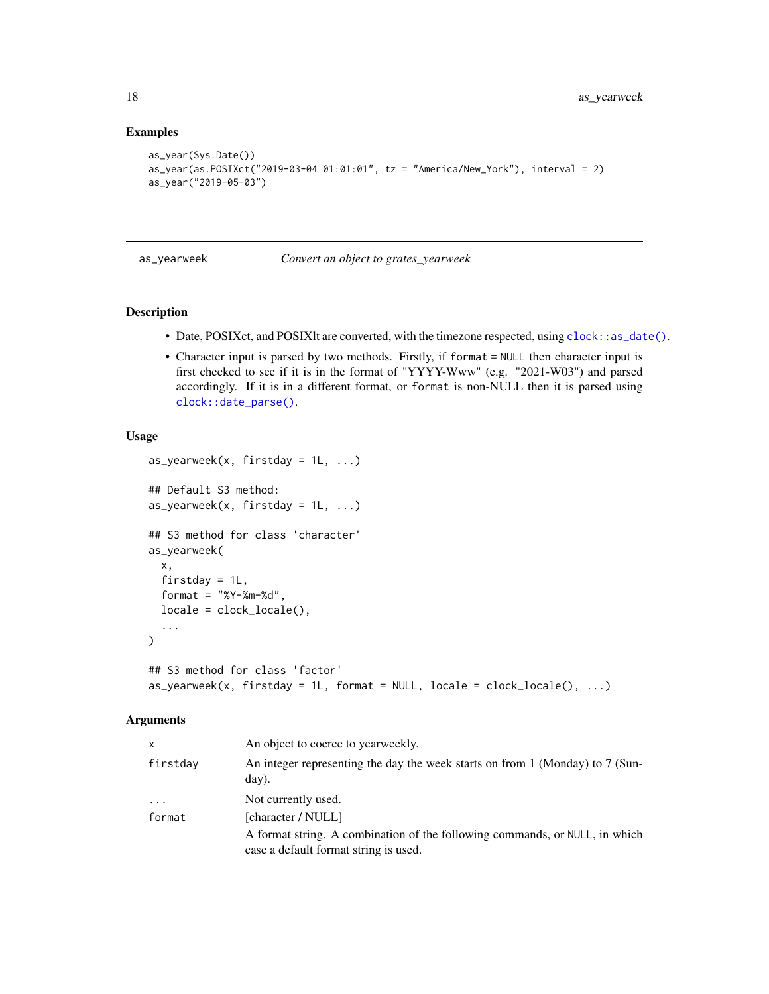#### Examples

```
as_year(Sys.Date())
as_year(as.POSIXct("2019-03-04 01:01:01", tz = "America/New_York"), interval = 2)
as_year("2019-05-03")
```
#### as\_yearweek *Convert an object to grates\_yearweek*

## Description

- Date, POSIXct, and POSIXlt are converted, with the timezone respected, using [clock::as\\_date\(\)](#page-0-0).
- Character input is parsed by two methods. Firstly, if format = NULL then character input is first checked to see if it is in the format of "YYYY-Www" (e.g. "2021-W03") and parsed accordingly. If it is in a different format, or format is non-NULL then it is parsed using [clock::date\\_parse\(\)](#page-0-0).

## Usage

```
as_yearweek(x, firstday = 1L, ...)## Default S3 method:
as_yearweek(x, firstday = 1L, ...)## S3 method for class 'character'
as_yearweek(
 x,
 firstday = 1L,
 format = "XY-Xm-Xd",
 locale = clock_locale(),
  ...
\lambda## S3 method for class 'factor'
as_yearweek(x, firstday = 1L, format = NULL, locale = clock_locale(), \dots)
```
## Arguments

| x        | An object to coerce to yearweekly.                                                                                   |
|----------|----------------------------------------------------------------------------------------------------------------------|
| firstdav | An integer representing the day the week starts on from 1 (Monday) to 7 (Sun-<br>day).                               |
| .        | Not currently used.                                                                                                  |
| format   | [character / NULL]                                                                                                   |
|          | A format string. A combination of the following commands, or NULL, in which<br>case a default format string is used. |

<span id="page-17-0"></span>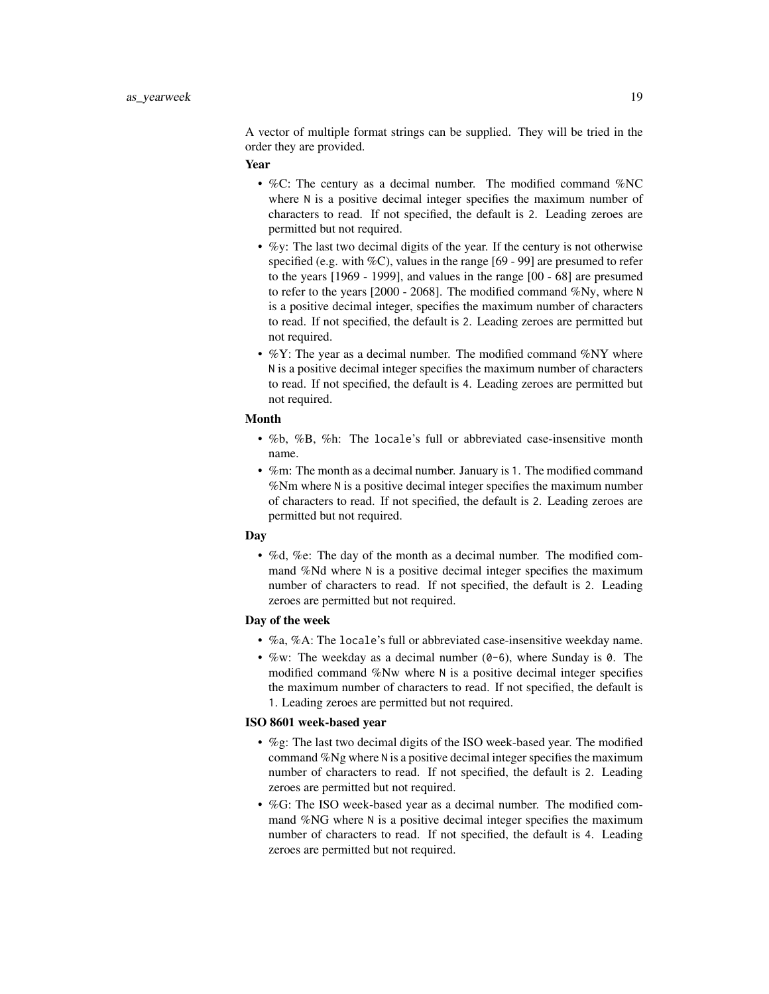A vector of multiple format strings can be supplied. They will be tried in the order they are provided.

#### Year

- %C: The century as a decimal number. The modified command %NC where N is a positive decimal integer specifies the maximum number of characters to read. If not specified, the default is 2. Leading zeroes are permitted but not required.
- %y: The last two decimal digits of the year. If the century is not otherwise specified (e.g. with  $\%C$ ), values in the range [69 - 99] are presumed to refer to the years [1969 - 1999], and values in the range [00 - 68] are presumed to refer to the years [2000 - 2068]. The modified command %Ny, where N is a positive decimal integer, specifies the maximum number of characters to read. If not specified, the default is 2. Leading zeroes are permitted but not required.
- $\%$ Y: The year as a decimal number. The modified command  $\%$ NY where N is a positive decimal integer specifies the maximum number of characters to read. If not specified, the default is 4. Leading zeroes are permitted but not required.

#### Month

- %b, %B, %h: The locale's full or abbreviated case-insensitive month name.
- %m: The month as a decimal number. January is 1. The modified command %Nm where N is a positive decimal integer specifies the maximum number of characters to read. If not specified, the default is 2. Leading zeroes are permitted but not required.

#### Day

• %d, %e: The day of the month as a decimal number. The modified command %Nd where N is a positive decimal integer specifies the maximum number of characters to read. If not specified, the default is 2. Leading zeroes are permitted but not required.

## Day of the week

- %a, %A: The locale's full or abbreviated case-insensitive weekday name.
- %w: The weekday as a decimal number  $(0-6)$ , where Sunday is 0. The modified command %Nw where N is a positive decimal integer specifies the maximum number of characters to read. If not specified, the default is 1. Leading zeroes are permitted but not required.

#### ISO 8601 week-based year

- %g: The last two decimal digits of the ISO week-based year. The modified command %Ng where N is a positive decimal integer specifies the maximum number of characters to read. If not specified, the default is 2. Leading zeroes are permitted but not required.
- %G: The ISO week-based year as a decimal number. The modified command %NG where N is a positive decimal integer specifies the maximum number of characters to read. If not specified, the default is 4. Leading zeroes are permitted but not required.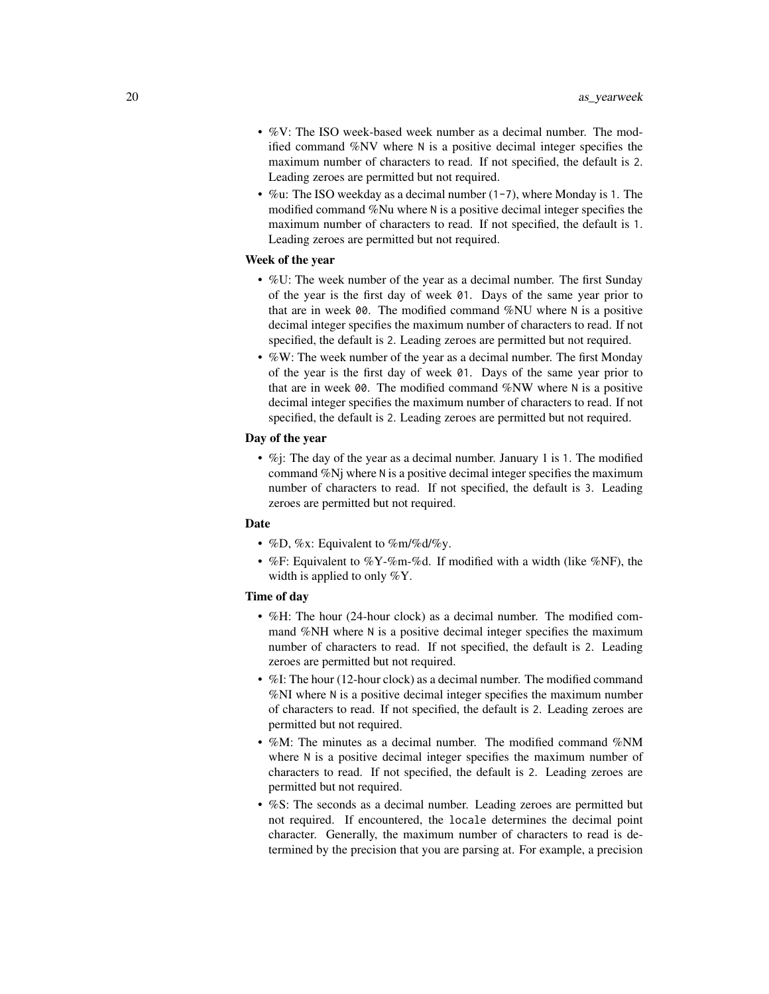- %V: The ISO week-based week number as a decimal number. The modified command %NV where N is a positive decimal integer specifies the maximum number of characters to read. If not specified, the default is 2. Leading zeroes are permitted but not required.
- %u: The ISO weekday as a decimal number (1-7), where Monday is 1. The modified command %Nu where N is a positive decimal integer specifies the maximum number of characters to read. If not specified, the default is 1. Leading zeroes are permitted but not required.

#### Week of the year

- %U: The week number of the year as a decimal number. The first Sunday of the year is the first day of week 01. Days of the same year prior to that are in week 00. The modified command %NU where N is a positive decimal integer specifies the maximum number of characters to read. If not specified, the default is 2. Leading zeroes are permitted but not required.
- %W: The week number of the year as a decimal number. The first Monday of the year is the first day of week 01. Days of the same year prior to that are in week 00. The modified command %NW where N is a positive decimal integer specifies the maximum number of characters to read. If not specified, the default is 2. Leading zeroes are permitted but not required.

#### Day of the year

•  $\%$ j: The day of the year as a decimal number. January 1 is 1. The modified command %Nj where N is a positive decimal integer specifies the maximum number of characters to read. If not specified, the default is 3. Leading zeroes are permitted but not required.

#### **Date**

- %D, %x: Equivalent to %m/%d/%y.
- %F: Equivalent to %Y-%m-%d. If modified with a width (like %NF), the width is applied to only %Y.

#### Time of day

- %H: The hour (24-hour clock) as a decimal number. The modified command %NH where N is a positive decimal integer specifies the maximum number of characters to read. If not specified, the default is 2. Leading zeroes are permitted but not required.
- %I: The hour (12-hour clock) as a decimal number. The modified command %NI where N is a positive decimal integer specifies the maximum number of characters to read. If not specified, the default is 2. Leading zeroes are permitted but not required.
- %M: The minutes as a decimal number. The modified command %NM where N is a positive decimal integer specifies the maximum number of characters to read. If not specified, the default is 2. Leading zeroes are permitted but not required.
- %S: The seconds as a decimal number. Leading zeroes are permitted but not required. If encountered, the locale determines the decimal point character. Generally, the maximum number of characters to read is determined by the precision that you are parsing at. For example, a precision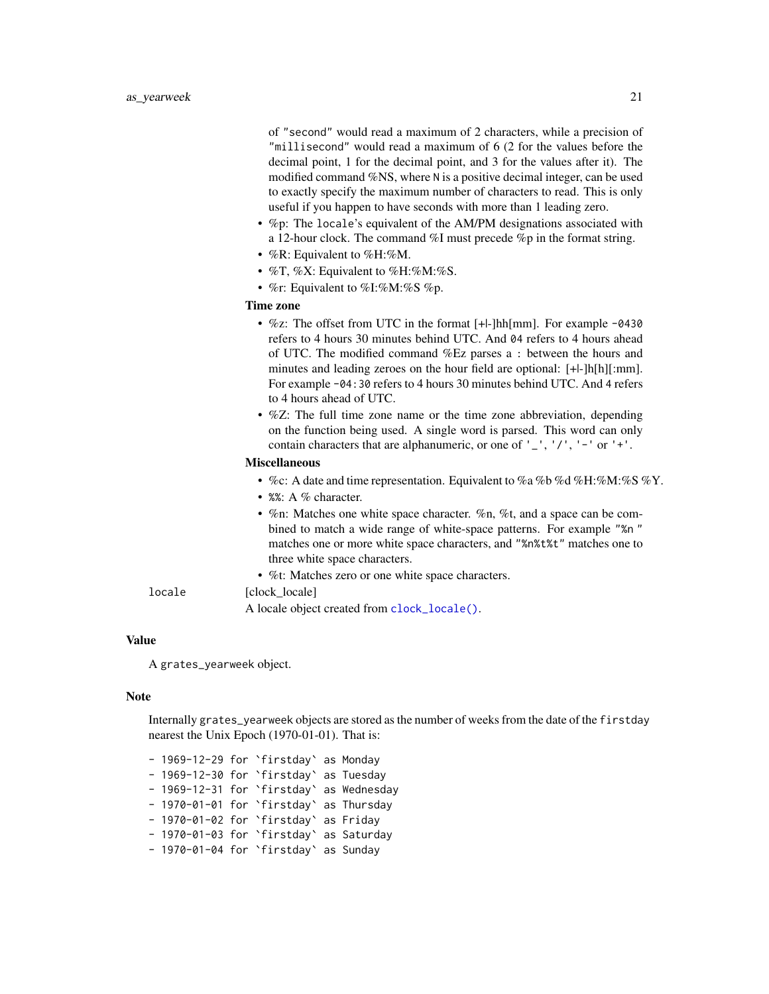<span id="page-20-0"></span>of "second" would read a maximum of 2 characters, while a precision of "millisecond" would read a maximum of 6 (2 for the values before the decimal point, 1 for the decimal point, and 3 for the values after it). The modified command %NS, where N is a positive decimal integer, can be used to exactly specify the maximum number of characters to read. This is only useful if you happen to have seconds with more than 1 leading zero.

- %p: The locale's equivalent of the AM/PM designations associated with a 12-hour clock. The command %I must precede %p in the format string.
- %R: Equivalent to %H:%M.
- $\%$ T,  $\%$ X: Equivalent to  $\%$ H: $\%$ M: $\%$ S.
- %r: Equivalent to %I:%M:%S %p.

#### Time zone

- %z: The offset from UTC in the format [+|-]hh[mm]. For example -0430 refers to 4 hours 30 minutes behind UTC. And 04 refers to 4 hours ahead of UTC. The modified command %Ez parses a : between the hours and minutes and leading zeroes on the hour field are optional: [+|-]h[h][:mm]. For example -04:30 refers to 4 hours 30 minutes behind UTC. And 4 refers to 4 hours ahead of UTC.
- %Z: The full time zone name or the time zone abbreviation, depending on the function being used. A single word is parsed. This word can only contain characters that are alphanumeric, or one of  $'$   $'$ ,  $'$ ,  $'$ ,  $'$   $'$ ,  $'$  or  $'$  + $'$ .

#### Miscellaneous

- %c: A date and time representation. Equivalent to %a %b %d %H:%M:%S %Y.
- %%: A % character.
- %n: Matches one white space character. %n, %t, and a space can be combined to match a wide range of white-space patterns. For example "%n " matches one or more white space characters, and "%n%t%t" matches one to three white space characters.
- %t: Matches zero or one white space characters.

#### locale [clock locale]

A locale object created from [clock\\_locale\(\)](#page-0-0).

## Value

A grates\_yearweek object.

#### Note

Internally grates\_yearweek objects are stored as the number of weeks from the date of the firstday nearest the Unix Epoch (1970-01-01). That is:

- 1969-12-29 for `firstday` as Monday - 1969-12-30 for `firstday` as Tuesday - 1969-12-31 for `firstday` as Wednesday - 1970-01-01 for `firstday` as Thursday - 1970-01-02 for `firstday` as Friday - 1970-01-03 for `firstday` as Saturday - 1970-01-04 for `firstday` as Sunday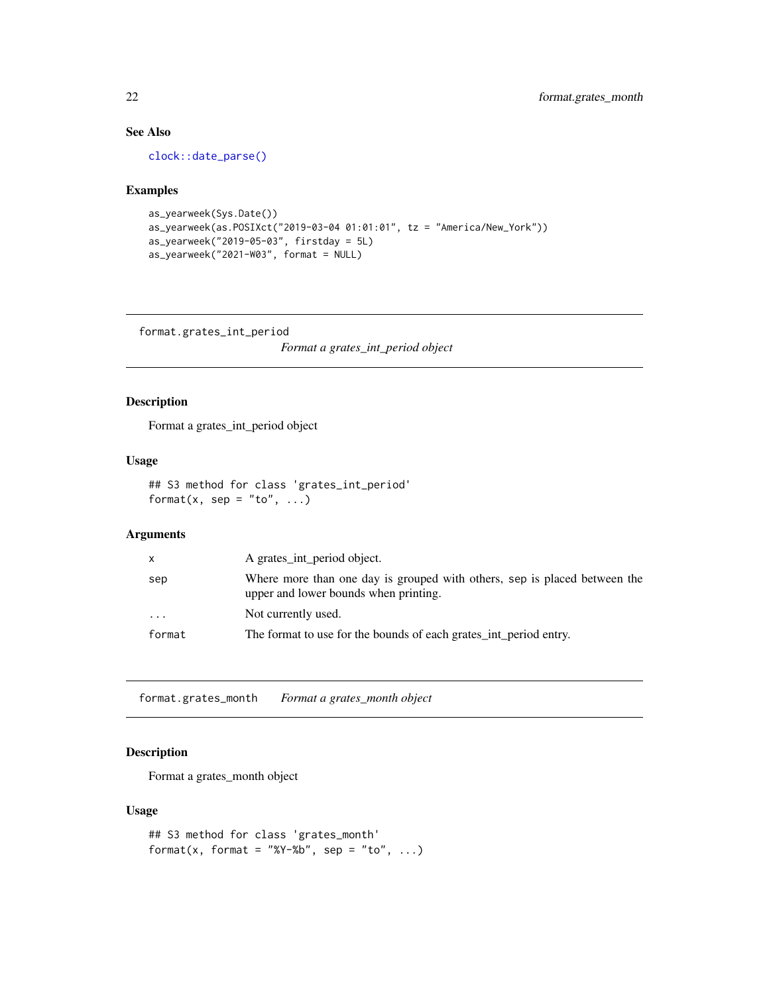## See Also

[clock::date\\_parse\(\)](#page-0-0)

#### Examples

```
as_yearweek(Sys.Date())
as_yearweek(as.POSIXct("2019-03-04 01:01:01", tz = "America/New_York"))
as_yearweek("2019-05-03", firstday = 5L)
as_yearweek("2021-W03", format = NULL)
```
format.grates\_int\_period

*Format a grates\_int\_period object*

## Description

Format a grates\_int\_period object

#### Usage

```
## S3 method for class 'grates_int_period'
format(x, sep = "to", \dots)
```
## Arguments

| x      | A grates_int_period object.                                                                                        |
|--------|--------------------------------------------------------------------------------------------------------------------|
| sep    | Where more than one day is grouped with others, sep is placed between the<br>upper and lower bounds when printing. |
| .      | Not currently used.                                                                                                |
| format | The format to use for the bounds of each grates_int_period entry.                                                  |

format.grates\_month *Format a grates\_month object*

## Description

Format a grates\_month object

#### Usage

```
## S3 method for class 'grates_month'
format(x, format = "%Y-%b", sep = "to", \ldots)
```
<span id="page-21-0"></span>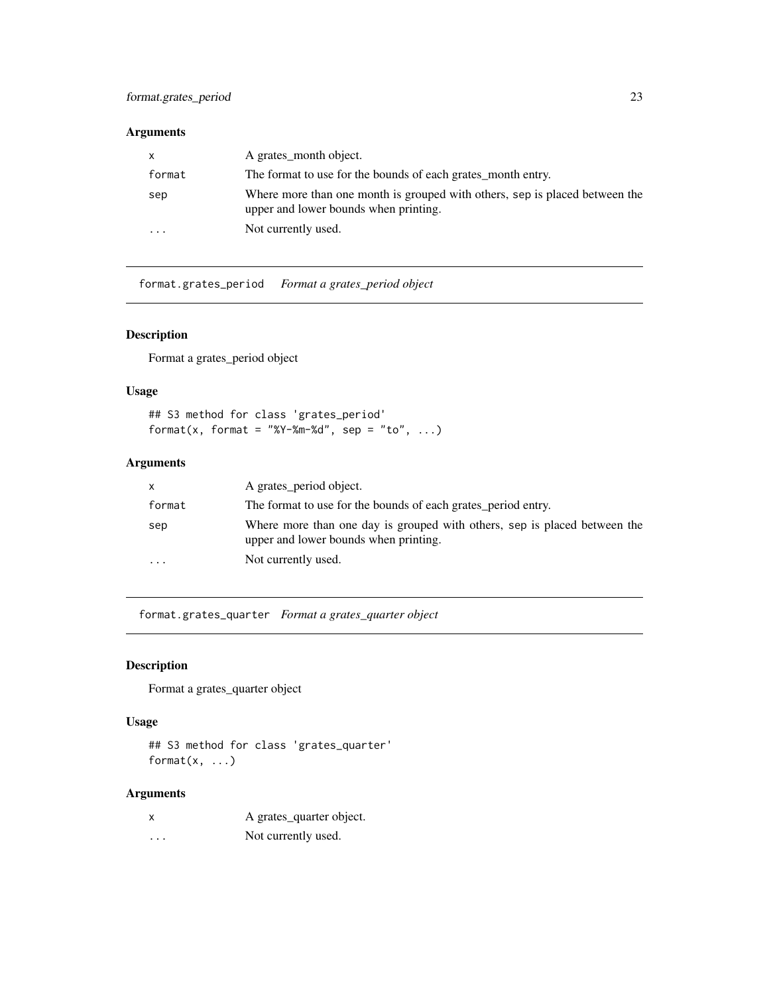## <span id="page-22-0"></span>Arguments

| $\mathsf{x}$            | A grates month object.                                                                                               |
|-------------------------|----------------------------------------------------------------------------------------------------------------------|
| format                  | The format to use for the bounds of each grates_month entry.                                                         |
| sep                     | Where more than one month is grouped with others, sep is placed between the<br>upper and lower bounds when printing. |
| $\cdot$ $\cdot$ $\cdot$ | Not currently used.                                                                                                  |

format.grates\_period *Format a grates\_period object*

## Description

Format a grates\_period object

#### Usage

## S3 method for class 'grates\_period' format(x, format = "%Y-%m-%d", sep = "to", ...)

## Arguments

| X         | A grates_period object.                                                                                            |
|-----------|--------------------------------------------------------------------------------------------------------------------|
| format    | The format to use for the bounds of each grates period entry.                                                      |
| sep       | Where more than one day is grouped with others, sep is placed between the<br>upper and lower bounds when printing. |
| $\ddotsc$ | Not currently used.                                                                                                |

format.grates\_quarter *Format a grates\_quarter object*

## Description

Format a grates\_quarter object

## Usage

## S3 method for class 'grates\_quarter' format $(x, \ldots)$ 

## Arguments

|          | A grates_quarter object. |
|----------|--------------------------|
| $\cdots$ | Not currently used.      |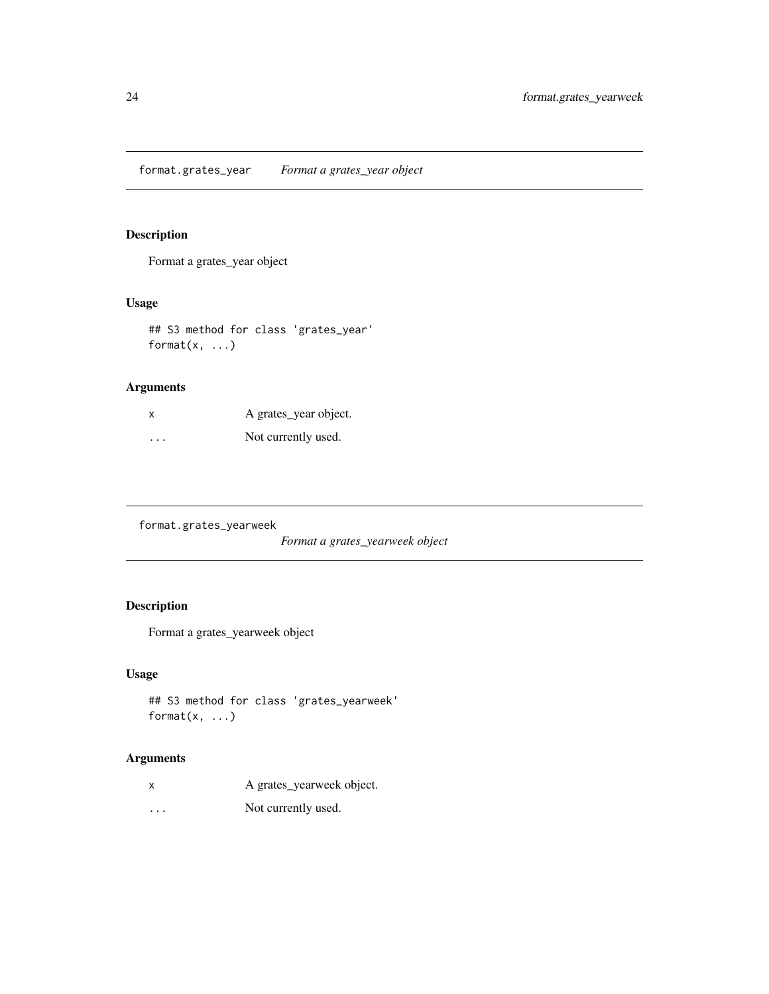<span id="page-23-0"></span>format.grates\_year *Format a grates\_year object*

## Description

Format a grates\_year object

## Usage

## S3 method for class 'grates\_year' format $(x, \ldots)$ 

## Arguments

| X                    | A grates_year object. |
|----------------------|-----------------------|
| $\ddot{\phantom{0}}$ | Not currently used.   |

format.grates\_yearweek

*Format a grates\_yearweek object*

## Description

Format a grates\_yearweek object

## Usage

## S3 method for class 'grates\_yearweek' format $(x, \ldots)$ 

## Arguments

| X        | A grates_yearweek object. |
|----------|---------------------------|
| $\cdots$ | Not currently used.       |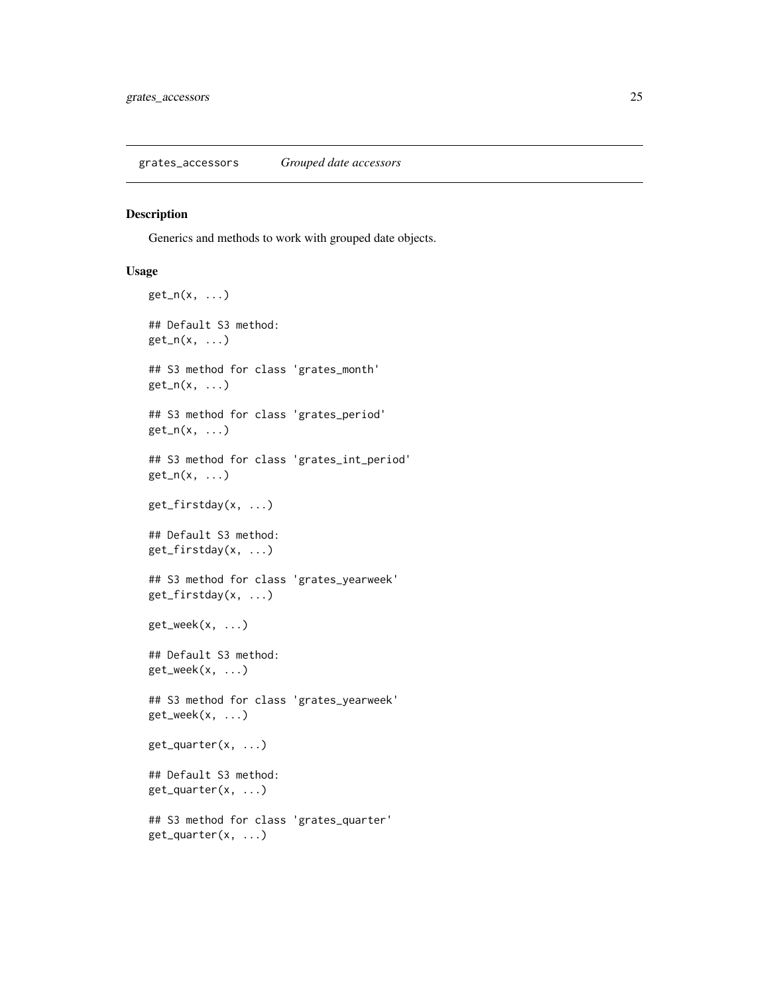#### <span id="page-24-0"></span>Description

Generics and methods to work with grouped date objects.

## Usage

```
get_n(x, \ldots)## Default S3 method:
get_n(x, \ldots)## S3 method for class 'grates_month'
get_n(x, \ldots)## S3 method for class 'grates_period'
get_n(x, \ldots)## S3 method for class 'grates_int_period'
get_n(x, \ldots)get_firstday(x, ...)
## Default S3 method:
get_firstday(x, ...)
## S3 method for class 'grates_yearweek'
get_firstday(x, ...)
get\_week(x, \ldots)## Default S3 method:
get_week(x, ...)
## S3 method for class 'grates_yearweek'
get_week(x, ...)
get_quarter(x, ...)
## Default S3 method:
get_quarter(x, ...)
## S3 method for class 'grates_quarter'
get_quarter(x, ...)
```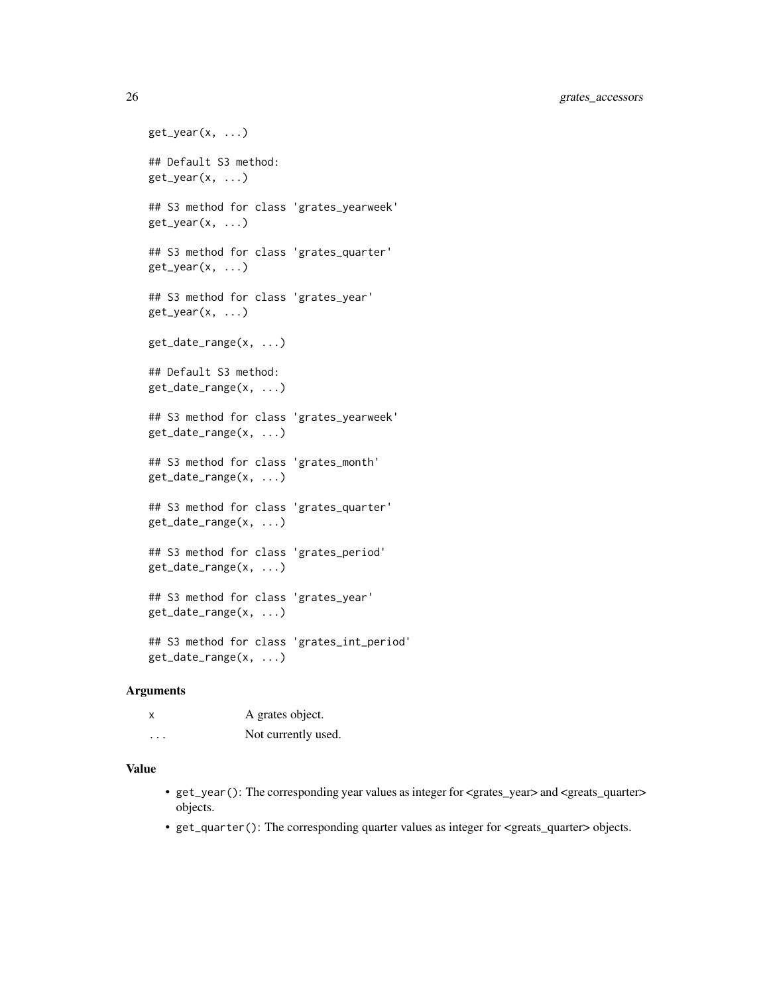26 grates\_accessors

```
get\_year(x, ...)## Default S3 method:
get_year(x, ...)
## S3 method for class 'grates_yearweek'
get\_year(x, ...)## S3 method for class 'grates_quarter'
get\_year(x, ...)## S3 method for class 'grates_year'
get_year(x, ...)
get_date_range(x, ...)
## Default S3 method:
get_date_range(x, ...)
## S3 method for class 'grates_yearweek'
get_date_range(x, ...)
## S3 method for class 'grates_month'
get_date_range(x, ...)
## S3 method for class 'grates_quarter'
get_date_range(x, ...)
## S3 method for class 'grates_period'
get_date_range(x, ...)
## S3 method for class 'grates_year'
get_date_range(x, ...)
## S3 method for class 'grates_int_period'
```
Arguments

get\_date\_range(x, ...)

| x                       | A grates object.    |
|-------------------------|---------------------|
| $\cdot$ $\cdot$ $\cdot$ | Not currently used. |

#### Value

- get\_year(): The corresponding year values as integer for <grates\_year> and <greats\_quarter> objects.
- get\_quarter(): The corresponding quarter values as integer for <greats\_quarter> objects.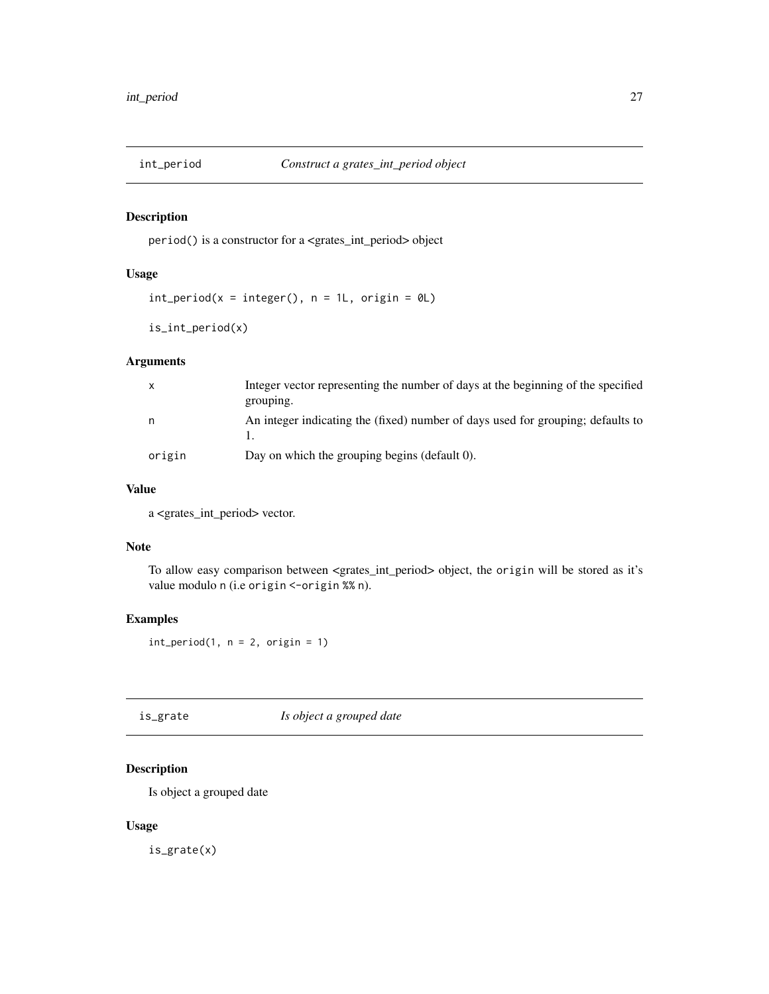<span id="page-26-0"></span>

## Description

period() is a constructor for a <grates\_int\_period> object

## Usage

```
int\_period(x = integer(), n = 1L, origin = 0L)
```
is\_int\_period(x)

## Arguments

| $\mathsf{X}$ | Integer vector representing the number of days at the beginning of the specified<br>grouping. |
|--------------|-----------------------------------------------------------------------------------------------|
| n.           | An integer indicating the (fixed) number of days used for grouping; defaults to               |
| origin       | Day on which the grouping begins (default 0).                                                 |

#### Value

a <grates\_int\_period> vector.

## Note

To allow easy comparison between <grates\_int\_period> object, the origin will be stored as it's value modulo n (i.e origin <-origin %% n).

## Examples

 $int\_period(1, n = 2, origin = 1)$ 

is\_grate *Is object a grouped date*

## Description

Is object a grouped date

### Usage

is\_grate(x)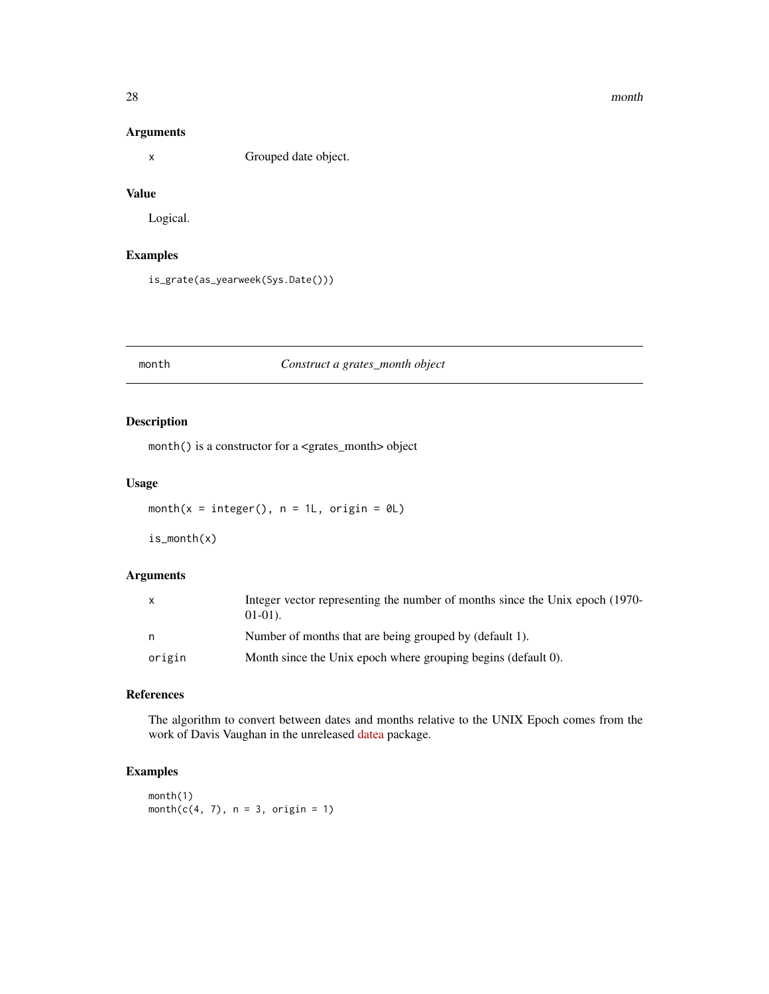#### <span id="page-27-0"></span>28 month and the contract of the contract of the contract of the contract of the contract of the contract of the contract of the contract of the contract of the contract of the contract of the contract of the contract of t

#### Arguments

x Grouped date object.

## Value

Logical.

## Examples

is\_grate(as\_yearweek(Sys.Date()))

#### month *Construct a grates\_month object*

## Description

month() is a constructor for a <grates\_month> object

## Usage

month( $x =$  integer(),  $n = 1L$ , origin = 0L)

is\_month(x)

## Arguments

|        | Integer vector representing the number of months since the Unix epoch (1970-<br>$01-01$ ). |
|--------|--------------------------------------------------------------------------------------------|
| n.     | Number of months that are being grouped by (default 1).                                    |
| origin | Month since the Unix epoch where grouping begins (default 0).                              |

## References

The algorithm to convert between dates and months relative to the UNIX Epoch comes from the work of Davis Vaughan in the unreleased [datea](https://github.com/DavisVaughan/datea/) package.

## Examples

month(1)  $month(c(4, 7), n = 3, origin = 1)$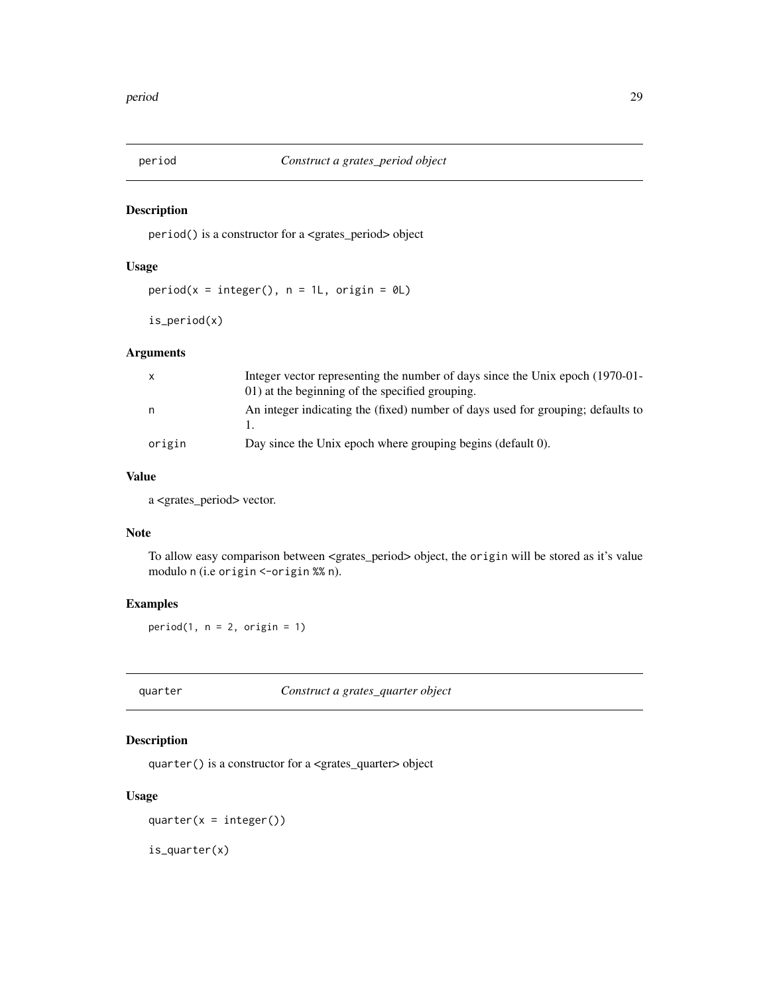<span id="page-28-0"></span>

## Description

period() is a constructor for a <grates\_period> object

#### Usage

```
period(x = integer(), n = 1L, origin = 0L)
```
is\_period(x)

## Arguments

| $\mathsf{X}$ | Integer vector representing the number of days since the Unix epoch (1970-01-<br>01) at the beginning of the specified grouping. |
|--------------|----------------------------------------------------------------------------------------------------------------------------------|
| n.           | An integer indicating the (fixed) number of days used for grouping; defaults to                                                  |
| origin       | Day since the Unix epoch where grouping begins (default 0).                                                                      |

## Value

a <grates\_period> vector.

## Note

To allow easy comparison between <grates\_period> object, the origin will be stored as it's value modulo n (i.e origin <-origin %% n).

## Examples

 $period(1, n = 2, origin = 1)$ 

quarter *Construct a grates\_quarter object*

## Description

quarter() is a constructor for a <grates\_quarter> object

## Usage

quarter( $x =$ integer())

is\_quarter(x)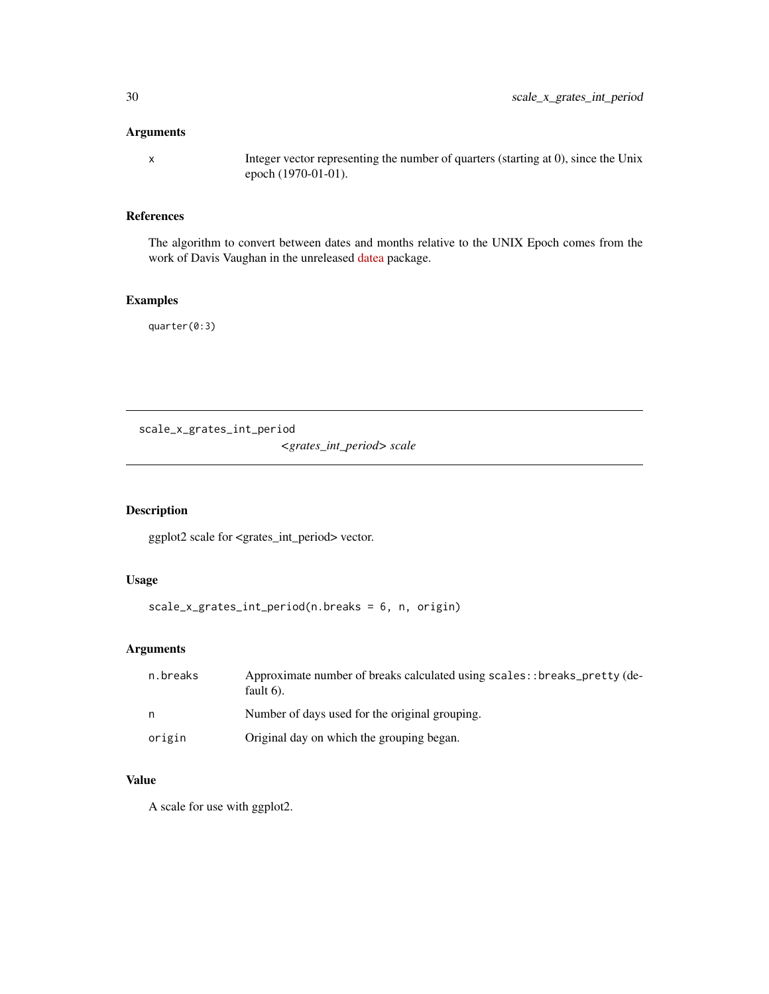## <span id="page-29-0"></span>Arguments

x Integer vector representing the number of quarters (starting at 0), since the Unix epoch (1970-01-01).

## References

The algorithm to convert between dates and months relative to the UNIX Epoch comes from the work of Davis Vaughan in the unreleased [datea](https://github.com/DavisVaughan/datea/) package.

## Examples

quarter(0:3)

scale\_x\_grates\_int\_period *<grates\_int\_period> scale*

## Description

ggplot2 scale for <grates\_int\_period> vector.

## Usage

scale\_x\_grates\_int\_period(n.breaks = 6, n, origin)

## Arguments

| n.breaks | Approximate number of breaks calculated using scales:: breaks_pretty (de-<br>fault $6$ ). |
|----------|-------------------------------------------------------------------------------------------|
| n        | Number of days used for the original grouping.                                            |
| origin   | Original day on which the grouping began.                                                 |

## Value

A scale for use with ggplot2.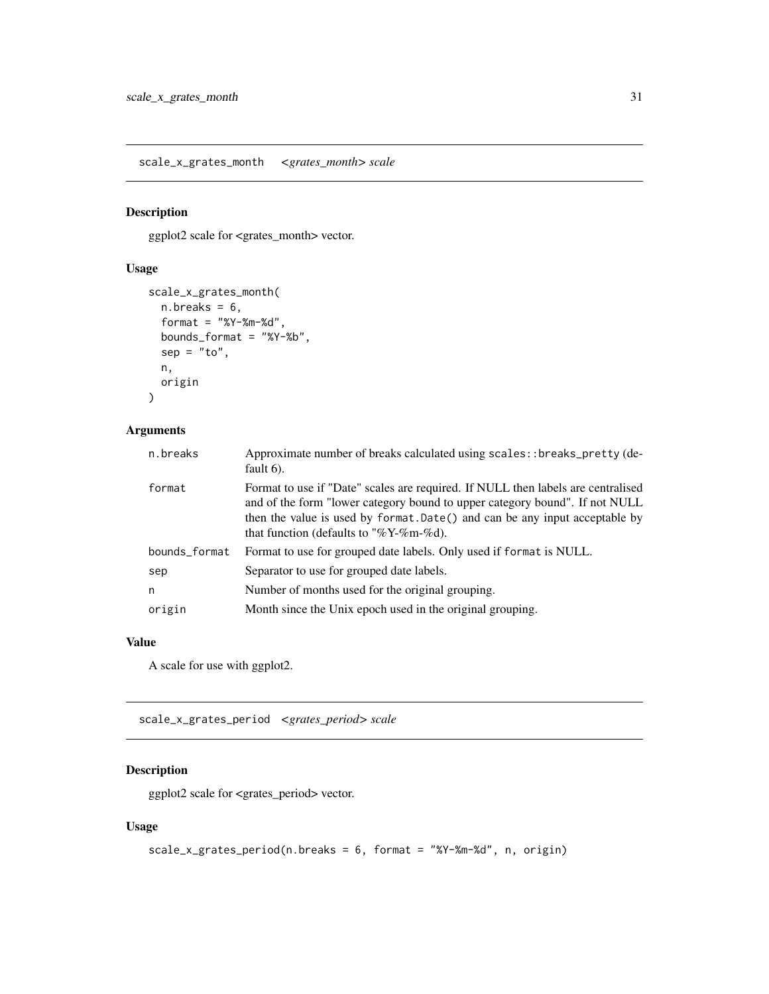<span id="page-30-0"></span>scale\_x\_grates\_month *<grates\_month> scale*

## Description

ggplot2 scale for <grates\_month> vector.

## Usage

```
scale_x_grates_month(
  n.breaks = 6,
  format = "%Y-%m-%d",
  bounds_format = "%Y-%b",
  sep = "to",n,
  origin
\lambda
```
#### Arguments

| n.breaks      | Approximate number of breaks calculated using scales: : breaks_pretty (de-<br>fault $6$ ).                                                                                                                                                                                               |
|---------------|------------------------------------------------------------------------------------------------------------------------------------------------------------------------------------------------------------------------------------------------------------------------------------------|
| format        | Format to use if "Date" scales are required. If NULL then labels are centralised<br>and of the form "lower category bound to upper category bound". If not NULL<br>then the value is used by format. Date() and can be any input acceptable by<br>that function (defaults to "%Y-%m-%d). |
| bounds_format | Format to use for grouped date labels. Only used if format is NULL.                                                                                                                                                                                                                      |
| sep           | Separator to use for grouped date labels.                                                                                                                                                                                                                                                |
| n             | Number of months used for the original grouping.                                                                                                                                                                                                                                         |
| origin        | Month since the Unix epoch used in the original grouping.                                                                                                                                                                                                                                |

## Value

A scale for use with ggplot2.

scale\_x\_grates\_period *<grates\_period> scale*

## Description

ggplot2 scale for <grates\_period> vector.

## Usage

```
scale_x_grates_period(n.breaks = 6, format = "%Y-%m-%d", n, origin)
```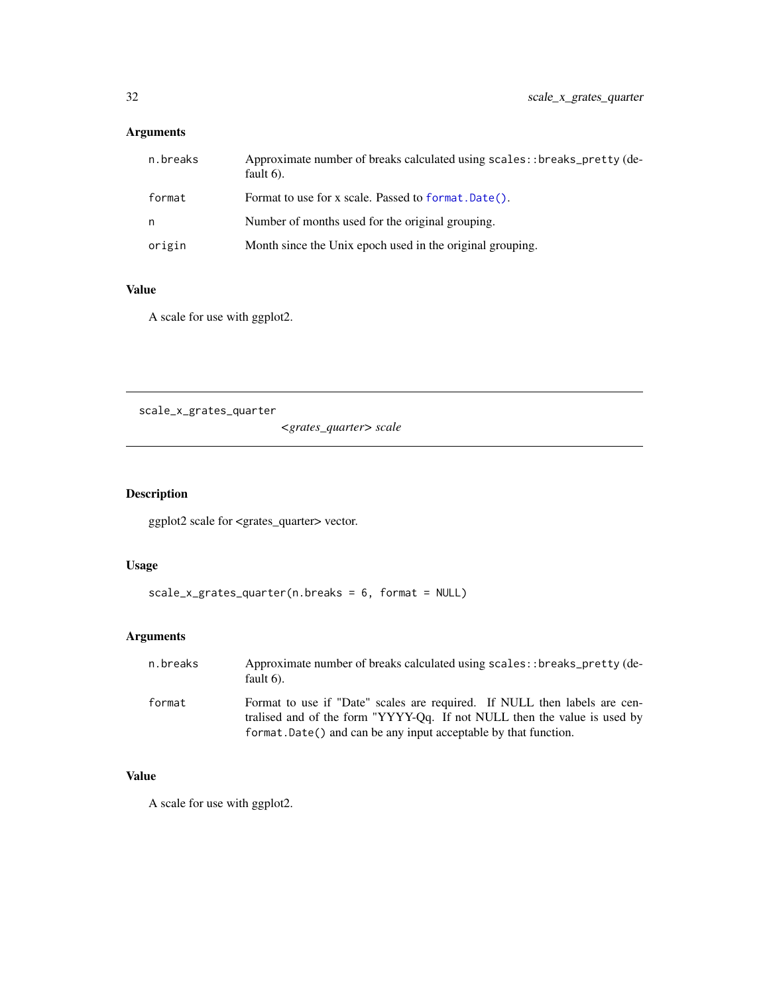## <span id="page-31-0"></span>Arguments

| n.breaks | Approximate number of breaks calculated using scales: : breaks_pretty (de-<br>fault $6$ ). |
|----------|--------------------------------------------------------------------------------------------|
| format   | Format to use for x scale. Passed to format. Date().                                       |
| n        | Number of months used for the original grouping.                                           |
| origin   | Month since the Unix epoch used in the original grouping.                                  |

## Value

A scale for use with ggplot2.

scale\_x\_grates\_quarter

*<grates\_quarter> scale*

## Description

ggplot2 scale for <grates\_quarter> vector.

## Usage

```
scale_x_grates_quarter(n.breaks = 6, format = NULL)
```
## Arguments

| n.breaks | Approximate number of breaks calculated using scales: : breaks_pretty (de-<br>fault $6$ ).                                                                                                                                |
|----------|---------------------------------------------------------------------------------------------------------------------------------------------------------------------------------------------------------------------------|
| format   | Format to use if "Date" scales are required. If NULL then labels are cen-<br>tralised and of the form "YYYY-Qq. If not NULL then the value is used by<br>format. Date() and can be any input acceptable by that function. |

## Value

A scale for use with ggplot2.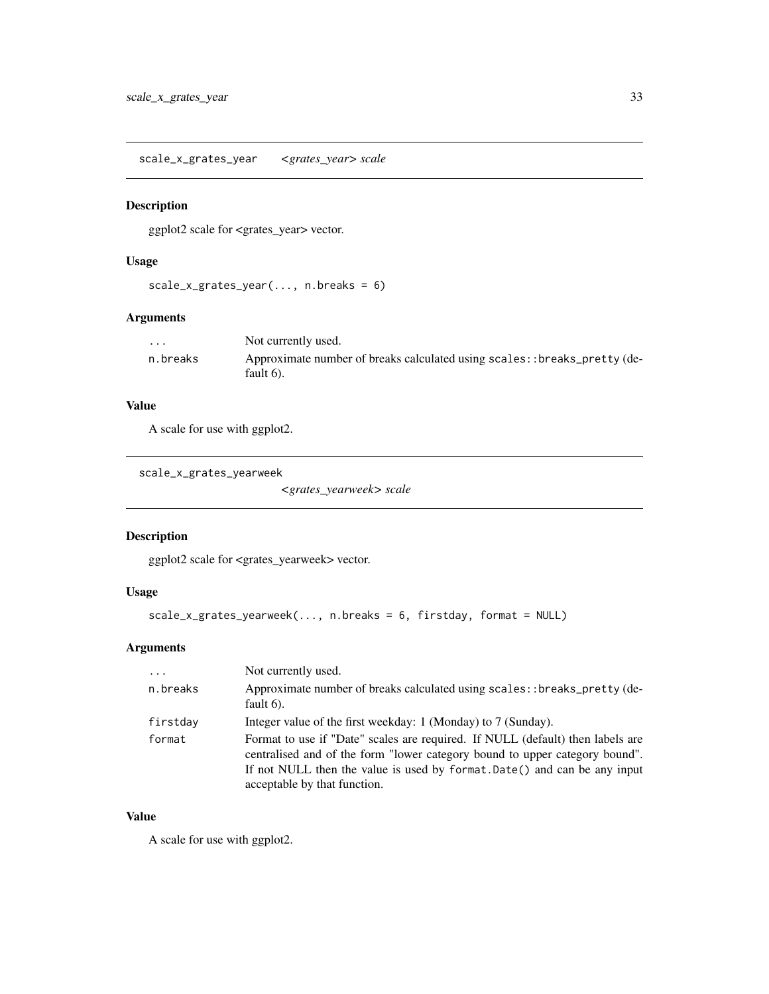<span id="page-32-0"></span>scale\_x\_grates\_year *<grates\_year> scale*

## Description

ggplot2 scale for <grates\_year> vector.

## Usage

```
scale_x_grates_year(..., n.breaks = 6)
```
## Arguments

| $\cdot$  | Not currently used.                                                                        |
|----------|--------------------------------------------------------------------------------------------|
| n.breaks | Approximate number of breaks calculated using scales: : breaks_pretty (de-<br>fault $6$ ). |

## Value

A scale for use with ggplot2.

scale\_x\_grates\_yearweek

*<grates\_yearweek> scale*

## Description

ggplot2 scale for <grates\_yearweek> vector.

## Usage

```
scale_x_grates_yearweek(..., n.breaks = 6, firstday, format = NULL)
```
## Arguments

| $\cdots$ | Not currently used.                                                                                                                                                                                                                                                        |
|----------|----------------------------------------------------------------------------------------------------------------------------------------------------------------------------------------------------------------------------------------------------------------------------|
| n.breaks | Approximate number of breaks calculated using scales:: breaks_pretty (de-<br>fault $6$ ).                                                                                                                                                                                  |
| firstday | Integer value of the first weekday: 1 (Monday) to 7 (Sunday).                                                                                                                                                                                                              |
| format   | Format to use if "Date" scales are required. If NULL (default) then labels are<br>centralised and of the form "lower category bound to upper category bound".<br>If not NULL then the value is used by format. Date() and can be any input<br>acceptable by that function. |

## Value

A scale for use with ggplot2.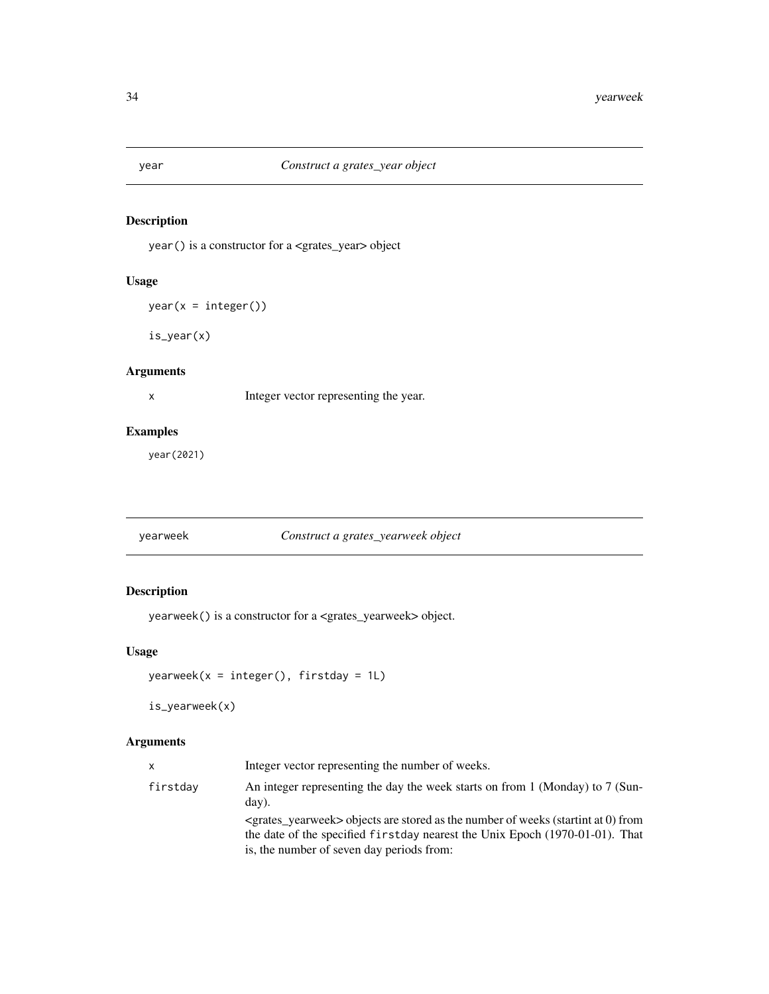<span id="page-33-0"></span>

## Description

year() is a constructor for a <grates\_year> object

## Usage

 $year(x = integer())$ 

is\_year(x)

## Arguments

x Integer vector representing the year.

## Examples

year(2021)

yearweek *Construct a grates\_yearweek object*

## Description

yearweek() is a constructor for a <grates\_yearweek> object.

## Usage

```
yearweek(x = integer(), firstday = 1L)
```
is\_yearweek(x)

#### Arguments

| X        | Integer vector representing the number of weeks.                                                                                                                                                                          |
|----------|---------------------------------------------------------------------------------------------------------------------------------------------------------------------------------------------------------------------------|
| firstday | An integer representing the day the week starts on from 1 (Monday) to 7 (Sun-<br>day).                                                                                                                                    |
|          | $\le$ grates yearweek $>$ objects are stored as the number of weeks (startint at 0) from<br>the date of the specified first day nearest the Unix Epoch $(1970-01-01)$ . That<br>is, the number of seven day periods from: |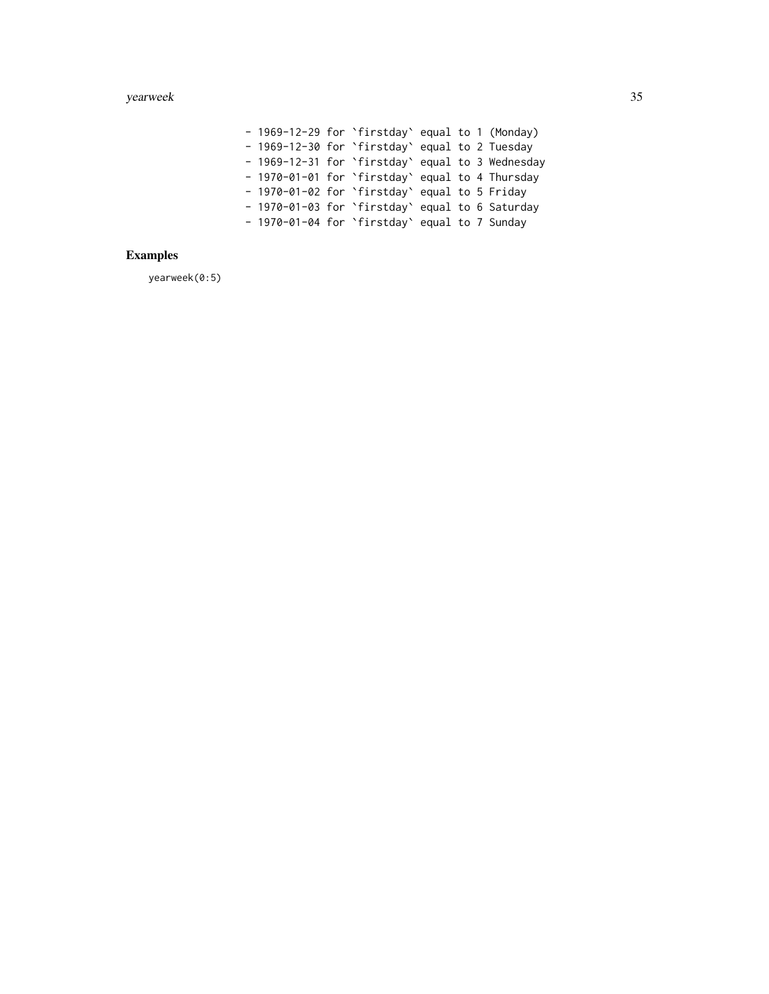- 1969-12-29 for `firstday` equal to 1 (Monday) - 1969-12-30 for `firstday` equal to 2 Tuesday - 1969-12-31 for `firstday` equal to 3 Wednesday - 1970-01-01 for `firstday` equal to 4 Thursday - 1970-01-02 for `firstday` equal to 5 Friday - 1970-01-03 for `firstday` equal to 6 Saturday - 1970-01-04 for `firstday` equal to 7 Sunday

## Examples

yearweek(0:5)